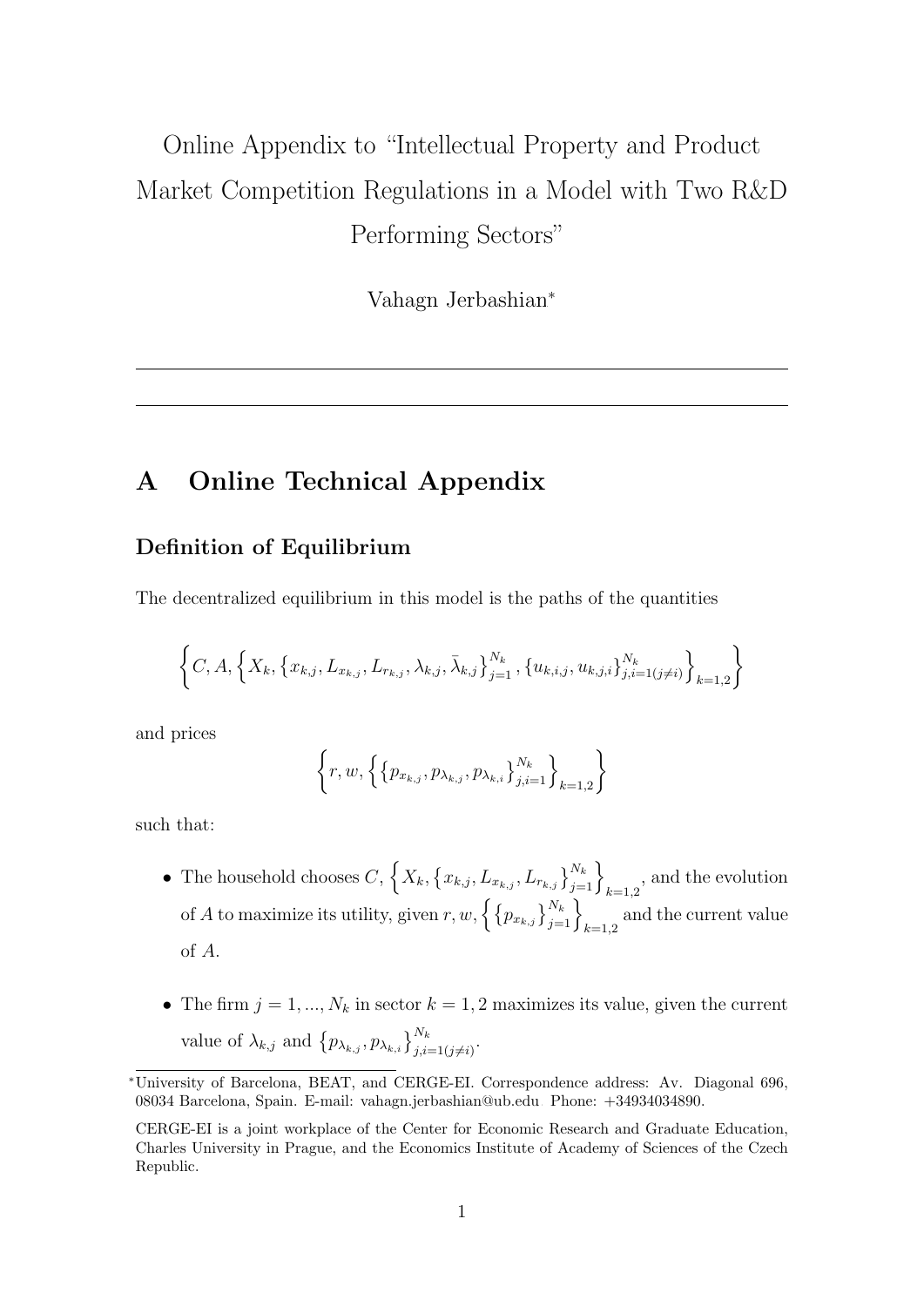# <span id="page-0-0"></span>Online Appendix to "Intellectual Property and Product Market Competition Regulations in a Model with Two R&D Performing Sectors"

Vahagn Jerbashian<sup>∗</sup>

## A Online Technical Appendix

#### Definition of Equilibrium

The decentralized equilibrium in this model is the paths of the quantities

$$
\left\{C, A, \left\{X_k, \left\{x_{k,j}, L_{x_{k,j}}, L_{r_{k,j}}, \lambda_{k,j}, \bar{\lambda}_{k,j}\right\}_{j=1}^{N_k}, \left\{u_{k,i,j}, u_{k,j,i}\right\}_{j,i=1 (j \neq i)}^{N_k}\right\}_{k=1,2} \right\}
$$

and prices

$$
\left\{ r, w, \left\{ \left\{ p_{x_{k,j}}, p_{\lambda_{k,j}}, p_{\lambda_{k,i}} \right\}_{j,i=1}^{N_k} \right\}_{k=1,2} \right\}
$$

such that:

- The household chooses  $C, \{X_k, \{x_{k,j}, L_{x_{k,j}}, L_{r_{k,j}}\}_{j=1}^{N_k}\}_{k=1,2}$ , and the evolution of A to maximize its utility, given  $r, w, \left\{\left\{p_{x_{k,j}}\right\}_{j=1}^{N_k}\right\}_{k=1,2}$  and the current value of A.
- The firm  $j = 1, ..., N_k$  in sector  $k = 1, 2$  maximizes its value, given the current value of  $\lambda_{k,j}$  and  $\{p_{\lambda_{k,j}}, p_{\lambda_{k,i}}\}_{j,i=1(j\neq i)}^{N_k}$ .

<sup>∗</sup>University of Barcelona, BEAT, and CERGE-EI. Correspondence address: Av. Diagonal 696, 08034 Barcelona, Spain. E-mail: [vahagn.jerbashian@ub.edu.](mailto:vahagn.jerbashian@ub.edu) Phone: +34934034890.

CERGE-EI is a joint workplace of the Center for Economic Research and Graduate Education, Charles University in Prague, and the Economics Institute of Academy of Sciences of the Czech Republic.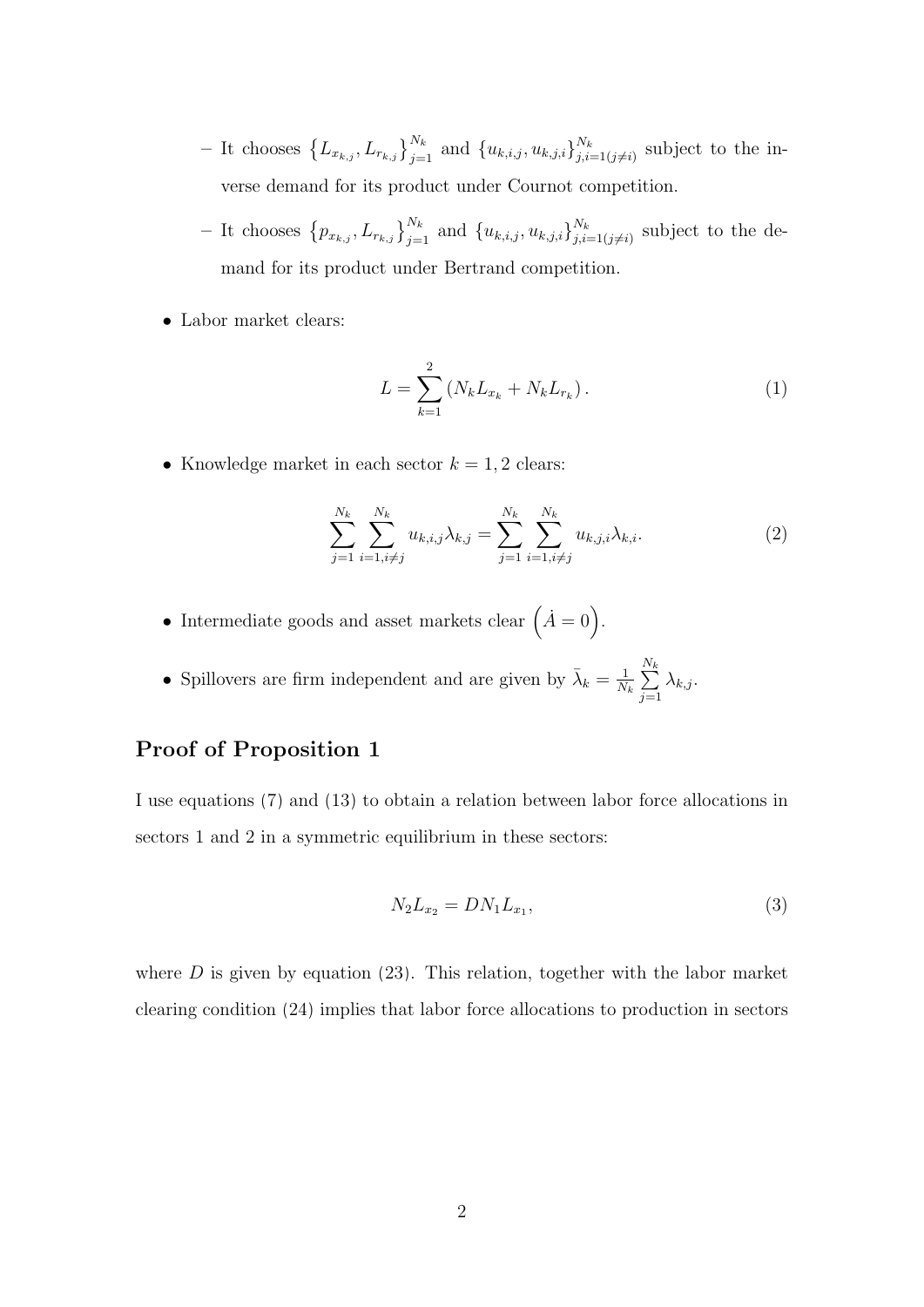- It chooses  $\{L_{x_{k,j}}, L_{r_{k,j}}\}_{j=1}^{N_k}$  and  $\{u_{k,i,j}, u_{k,j,i}\}_{j,i}^{N_k}$  $\sum_{j,i=1(j\neq i)}^{N_k}$  subject to the inverse demand for its product under Cournot competition.
- It chooses  $\{p_{x_{k,j}}, L_{r_{k,j}}\}_{j=1}^{N_k}$  and  $\{u_{k,i,j}, u_{k,j,i}\}_{j,i}^{N_k}$  $\sum_{j,i=1(j\neq i)}^{N_k}$  subject to the demand for its product under Bertrand competition.
- Labor market clears:

$$
L = \sum_{k=1}^{2} (N_k L_{x_k} + N_k L_{r_k}).
$$
 (1)

• Knowledge market in each sector  $k = 1, 2$  clears:

$$
\sum_{j=1}^{N_k} \sum_{i=1, i \neq j}^{N_k} u_{k,i,j} \lambda_{k,j} = \sum_{j=1}^{N_k} \sum_{i=1, i \neq j}^{N_k} u_{k,j,i} \lambda_{k,i}.
$$
 (2)

- Intermediate goods and asset markets clear  $(\dot{A}=0)$ .
- Spillovers are firm independent and are given by  $\bar{\lambda}_k = \frac{1}{N}$  $\frac{1}{N_k}$   $\sum$  $N_k$  $j=1$  $\lambda_{k,j}$ .

#### Proof of Proposition [1](#page-0-0)

I use equations [\(7\)](#page-0-0) and [\(13\)](#page-0-0) to obtain a relation between labor force allocations in sectors 1 and 2 in a symmetric equilibrium in these sectors:

$$
N_2 L_{x_2} = D N_1 L_{x_1},\tag{3}
$$

where  $D$  is given by equation [\(23\)](#page-0-0). This relation, together with the labor market clearing condition [\(24\)](#page-0-0) implies that labor force allocations to production in sectors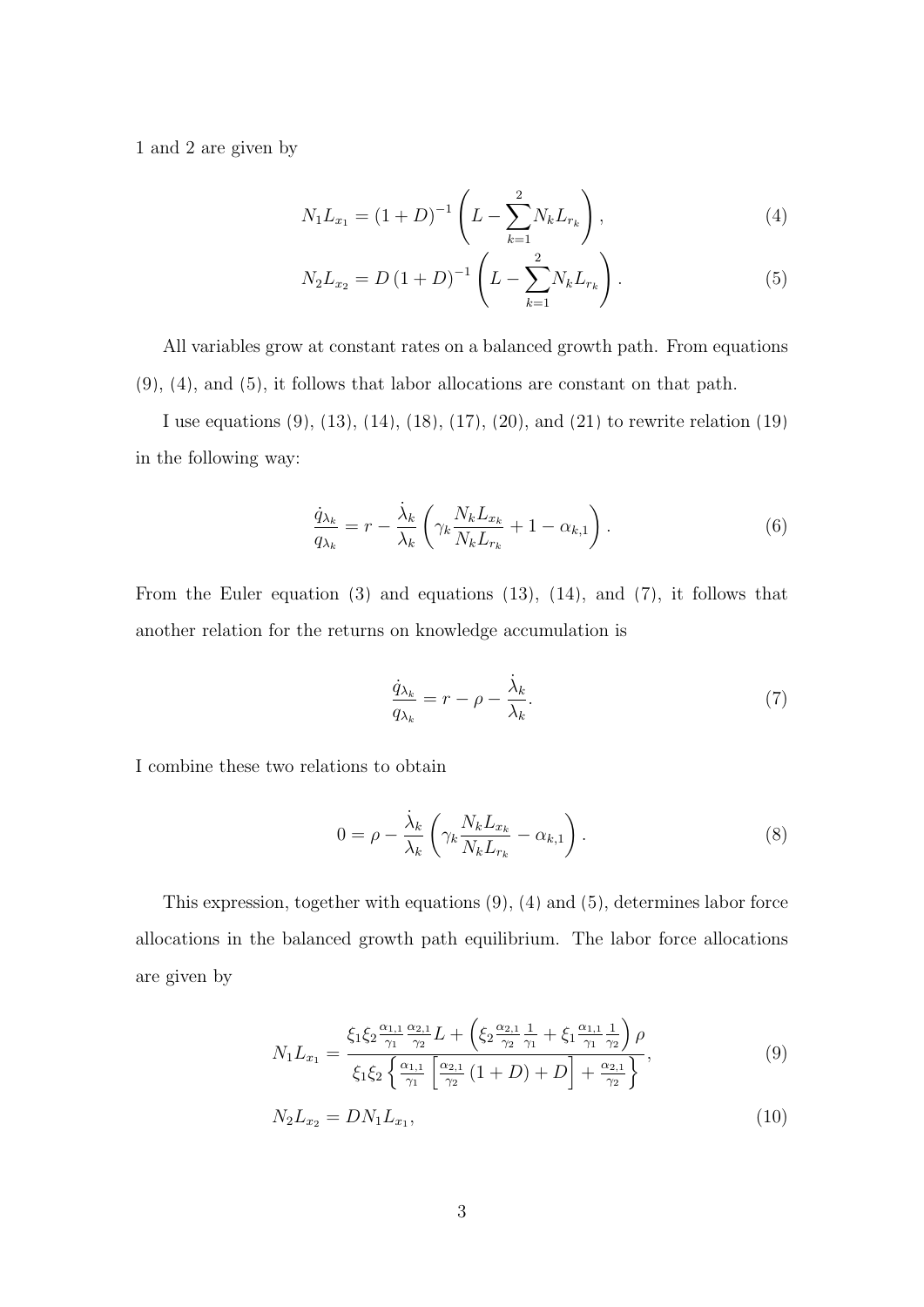1 and 2 are given by

<span id="page-2-0"></span>
$$
N_1 L_{x_1} = (1+D)^{-1} \left( L - \sum_{k=1}^{2} N_k L_{r_k} \right), \tag{4}
$$

<span id="page-2-1"></span>
$$
N_2 L_{x_2} = D (1 + D)^{-1} \left( L - \sum_{k=1}^{2} N_k L_{r_k} \right). \tag{5}
$$

All variables grow at constant rates on a balanced growth path. From equations [\(9\)](#page-0-0), [\(4\)](#page-2-0), and [\(5\)](#page-2-1), it follows that labor allocations are constant on that path.

I use equations [\(9\)](#page-0-0), [\(13\)](#page-0-0), [\(14\)](#page-0-0), [\(18\)](#page-0-0), [\(17\)](#page-0-0), [\(20\)](#page-0-0), and [\(21\)](#page-0-0) to rewrite relation [\(19\)](#page-0-0) in the following way:

$$
\frac{\dot{q}_{\lambda_k}}{q_{\lambda_k}} = r - \frac{\dot{\lambda}_k}{\lambda_k} \left( \gamma_k \frac{N_k L_{x_k}}{N_k L_{r_k}} + 1 - \alpha_{k,1} \right). \tag{6}
$$

From the Euler equation [\(3\)](#page-0-0) and equations [\(13\)](#page-0-0), [\(14\)](#page-0-0), and [\(7\)](#page-0-0), it follows that another relation for the returns on knowledge accumulation is

$$
\frac{\dot{q}_{\lambda_k}}{q_{\lambda_k}} = r - \rho - \frac{\dot{\lambda}_k}{\lambda_k}.\tag{7}
$$

I combine these two relations to obtain

<span id="page-2-3"></span><span id="page-2-2"></span>
$$
0 = \rho - \frac{\dot{\lambda}_k}{\lambda_k} \left( \gamma_k \frac{N_k L_{x_k}}{N_k L_{r_k}} - \alpha_{k,1} \right). \tag{8}
$$

This expression, together with equations [\(9\)](#page-0-0), [\(4\)](#page-2-0) and [\(5\)](#page-2-1), determines labor force allocations in the balanced growth path equilibrium. The labor force allocations are given by

$$
N_1 L_{x_1} = \frac{\xi_1 \xi_2 \frac{\alpha_{1,1}}{\gamma_1} \frac{\alpha_{2,1}}{\gamma_2} L + \left(\xi_2 \frac{\alpha_{2,1}}{\gamma_2} \frac{1}{\gamma_1} + \xi_1 \frac{\alpha_{1,1}}{\gamma_1} \frac{1}{\gamma_2}\right) \rho}{\xi_1 \xi_2 \left\{\frac{\alpha_{1,1}}{\gamma_1} \left[\frac{\alpha_{2,1}}{\gamma_2} \left(1+D\right) + D\right] + \frac{\alpha_{2,1}}{\gamma_2}\right\}},\tag{9}
$$

$$
N_2 L_{x_2} = D N_1 L_{x_1},\tag{10}
$$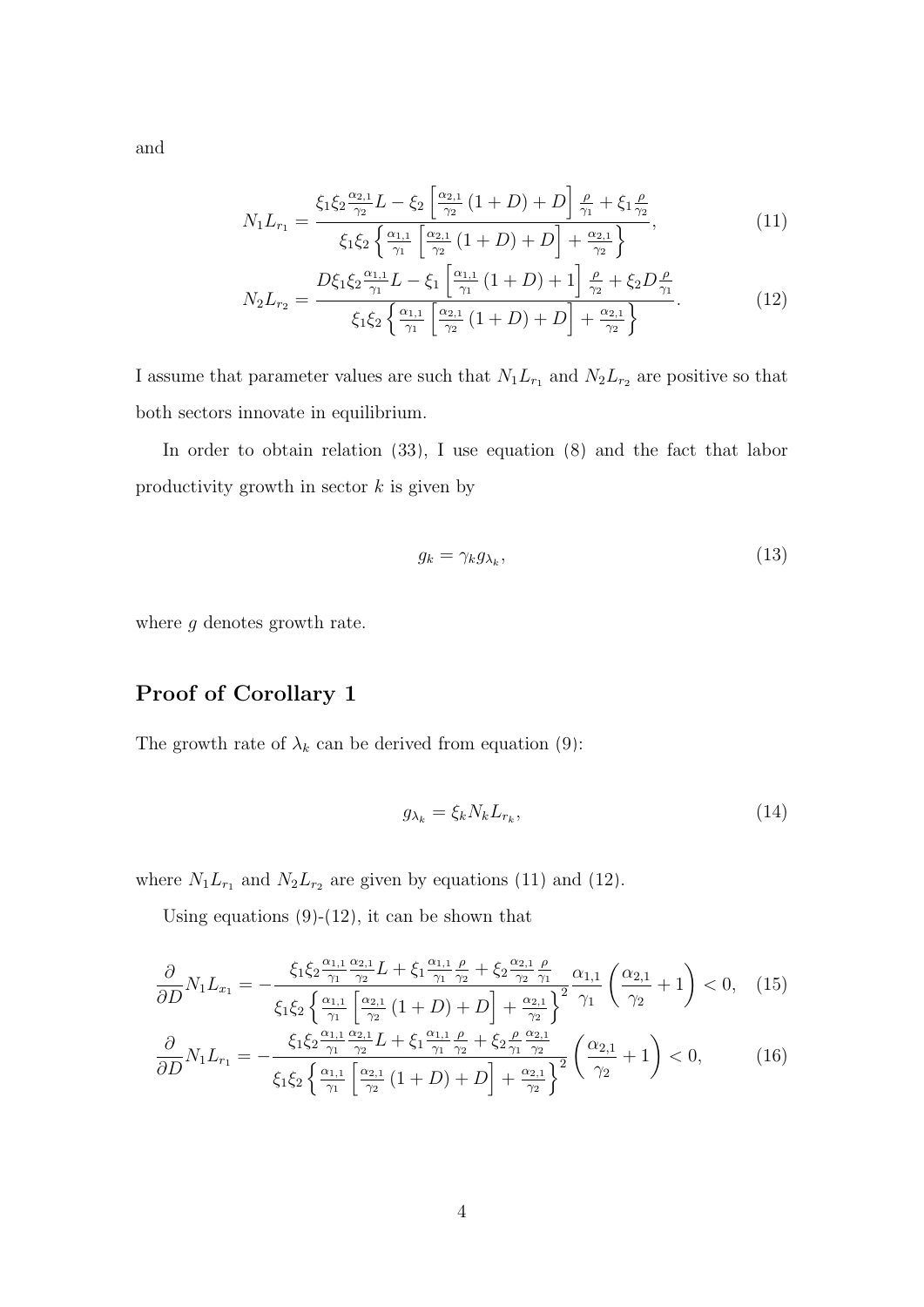and

$$
N_1 L_{r_1} = \frac{\xi_1 \xi_2 \frac{\alpha_{2,1}}{\gamma_2} L - \xi_2 \left[ \frac{\alpha_{2,1}}{\gamma_2} (1+D) + D \right] \frac{\rho}{\gamma_1} + \xi_1 \frac{\rho}{\gamma_2}}{\xi_1 \xi_2 \left\{ \frac{\alpha_{1,1}}{\gamma_1} \left[ \frac{\alpha_{2,1}}{\gamma_2} (1+D) + D \right] + \frac{\alpha_{2,1}}{\gamma_2} \right\}},\tag{11}
$$

$$
N_2 L_{r_2} = \frac{D\xi_1 \xi_2 \frac{\alpha_{1,1}}{\gamma_1} L - \xi_1 \left[ \frac{\alpha_{1,1}}{\gamma_1} \left( 1 + D \right) + 1 \right] \frac{\rho}{\gamma_2} + \xi_2 D \frac{\rho}{\gamma_1}}{\xi_1 \xi_2 \left\{ \frac{\alpha_{1,1}}{\gamma_1} \left[ \frac{\alpha_{2,1}}{\gamma_2} \left( 1 + D \right) + D \right] + \frac{\alpha_{2,1}}{\gamma_2} \right\}}.
$$
 (12)

I assume that parameter values are such that  $N_1L_{r_1}$  and  $N_2L_{r_2}$  are positive so that both sectors innovate in equilibrium.

In order to obtain relation [\(33\)](#page-0-0), I use equation [\(8\)](#page-2-2) and the fact that labor productivity growth in sector  $k$  is given by

<span id="page-3-1"></span><span id="page-3-0"></span>
$$
g_k = \gamma_k g_{\lambda_k},\tag{13}
$$

where  $g$  denotes growth rate.

#### Proof of Corollary [1](#page-0-0)

The growth rate of  $\lambda_k$  can be derived from equation [\(9\)](#page-0-0):

<span id="page-3-2"></span>
$$
g_{\lambda_k} = \xi_k N_k L_{r_k},\tag{14}
$$

where  $N_1L_{r_1}$  and  $N_2L_{r_2}$  are given by equations [\(11\)](#page-3-0) and [\(12\)](#page-3-1).

Using equations  $(9)-(12)$  $(9)-(12)$ , it can be shown that

$$
\frac{\partial}{\partial D} N_1 L_{x_1} = -\frac{\xi_1 \xi_2 \frac{\alpha_{1,1}}{\gamma_1} \frac{\alpha_{2,1}}{\gamma_2} L + \xi_1 \frac{\alpha_{1,1}}{\gamma_1} \frac{\rho}{\gamma_2} + \xi_2 \frac{\alpha_{2,1}}{\gamma_2} \frac{\rho}{\gamma_1}}{\left(\frac{\alpha_{2,1}}{\gamma_2} + 1\right)} \frac{\alpha_{1,1}}{\gamma_1} \left(\frac{\alpha_{2,1}}{\gamma_2} + 1\right) < 0,\tag{15}
$$

$$
\frac{\partial}{\partial D} N_1 L_{r_1} = -\frac{\xi_1 \xi_2 \frac{\alpha_{1,1}}{\gamma_1} \frac{\alpha_{2,1}}{\gamma_2} L + \xi_1 \frac{\alpha_{1,1}}{\gamma_1} \frac{\rho}{\gamma_2} + \xi_2 \frac{\rho}{\gamma_1} \frac{\alpha_{2,1}}{\gamma_2}}{\xi_1 \xi_2 \left\{ \frac{\alpha_{1,1}}{\gamma_1} \left[ \frac{\alpha_{2,1}}{\gamma_2} \left( 1 + D \right) + D \right] + \frac{\alpha_{2,1}}{\gamma_2} \right\}^2} \left( \frac{\alpha_{2,1}}{\gamma_2} + 1 \right) < 0, \tag{16}
$$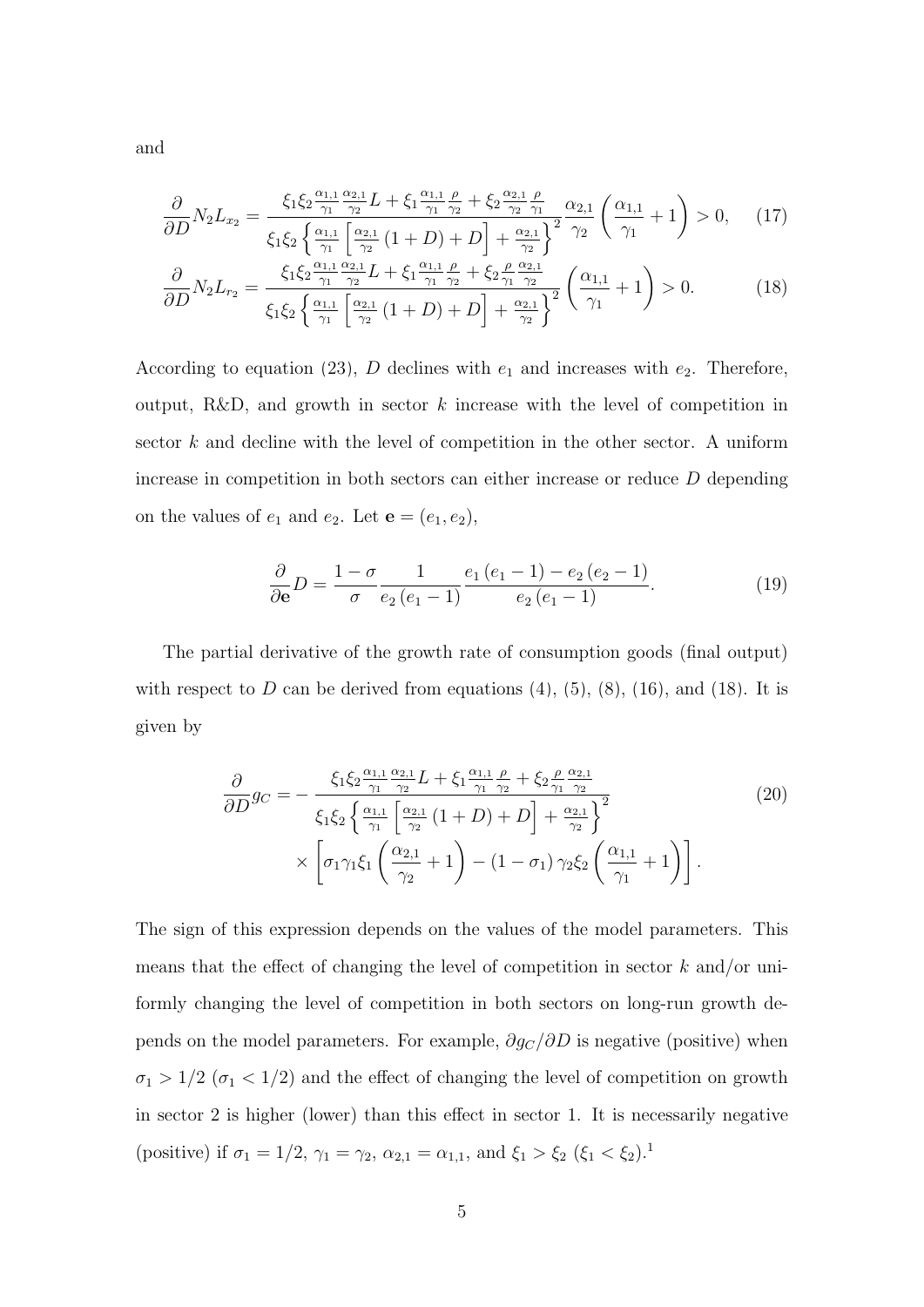$$
\frac{\partial}{\partial D} N_2 L_{x_2} = \frac{\xi_1 \xi_2 \frac{\alpha_{1,1}}{\gamma_1} \frac{\alpha_{2,1}}{\gamma_2} L + \xi_1 \frac{\alpha_{1,1}}{\gamma_1} \frac{\rho}{\gamma_2} + \xi_2 \frac{\alpha_{2,1}}{\gamma_2} \frac{\rho}{\gamma_1}}{\left(\frac{\alpha_{2,1}}{\gamma_1} + 1\right)} \frac{\alpha_{2,1}}{\gamma_2} \left(\frac{\alpha_{1,1}}{\gamma_1} + 1\right) > 0, \quad (17)
$$

$$
\frac{\partial}{\partial D} N_2 L_{r_2} = \frac{\xi_1 \xi_2 \frac{\alpha_{1,1}}{\gamma_1} \frac{\alpha_{2,1}}{\gamma_2} L + \xi_1 \frac{\alpha_{1,1}}{\gamma_1} \frac{\rho}{\gamma_2} + \xi_2 \frac{\rho}{\gamma_1} \frac{\alpha_{2,1}}{\gamma_2}}{\frac{\alpha_{2,1}}{\gamma_2}} \left( \frac{\alpha_{1,1}}{\gamma_1} + 1 \right) > 0. \tag{18}
$$

According to equation [\(23\)](#page-0-0), D declines with  $e_1$  and increases with  $e_2$ . Therefore, output, R&D, and growth in sector  $k$  increase with the level of competition in sector k and decline with the level of competition in the other sector. A uniform increase in competition in both sectors can either increase or reduce D depending on the values of  $e_1$  and  $e_2$ . Let  $\mathbf{e} = (e_1, e_2)$ ,

<span id="page-4-0"></span>
$$
\frac{\partial}{\partial \mathbf{e}}D = \frac{1 - \sigma}{\sigma} \frac{1}{e_2(e_1 - 1)} \frac{e_1(e_1 - 1) - e_2(e_2 - 1)}{e_2(e_1 - 1)}.
$$
(19)

The partial derivative of the growth rate of consumption goods (final output) with respect to  $D$  can be derived from equations  $(4)$ ,  $(5)$ ,  $(8)$ ,  $(16)$ , and  $(18)$ . It is given by

$$
\frac{\partial}{\partial D} g_C = -\frac{\xi_1 \xi_2 \frac{\alpha_{1,1}}{\gamma_1} \frac{\alpha_{2,1}}{\gamma_2} L + \xi_1 \frac{\alpha_{1,1}}{\gamma_1} \frac{\rho}{\gamma_2} + \xi_2 \frac{\rho}{\gamma_1} \frac{\alpha_{2,1}}{\gamma_2}}{\xi_1 \xi_2 \left\{ \frac{\alpha_{1,1}}{\gamma_1} \left[ \frac{\alpha_{2,1}}{\gamma_2} (1+D) + D \right] + \frac{\alpha_{2,1}}{\gamma_2} \right\}^2} \times \left[ \sigma_1 \gamma_1 \xi_1 \left( \frac{\alpha_{2,1}}{\gamma_2} + 1 \right) - (1 - \sigma_1) \gamma_2 \xi_2 \left( \frac{\alpha_{1,1}}{\gamma_1} + 1 \right) \right].
$$
\n(20)

The sign of this expression depends on the values of the model parameters. This means that the effect of changing the level of competition in sector  $k$  and/or uniformly changing the level of competition in both sectors on long-run growth depends on the model parameters. For example,  $\partial g_C/\partial D$  is negative (positive) when  $\sigma_1 > 1/2$   $(\sigma_1 < 1/2)$  and the effect of changing the level of competition on growth in sector 2 is higher (lower) than this effect in sector 1. It is necessarily negative (positive) if  $\sigma_1 = 1/2$ ,  $\gamma_1 = \gamma_2$ ,  $\alpha_{2,1} = \alpha_{1,1}$ , and  $\xi_1 > \xi_2$   $(\xi_1 < \xi_2)$ .<sup>1</sup>

and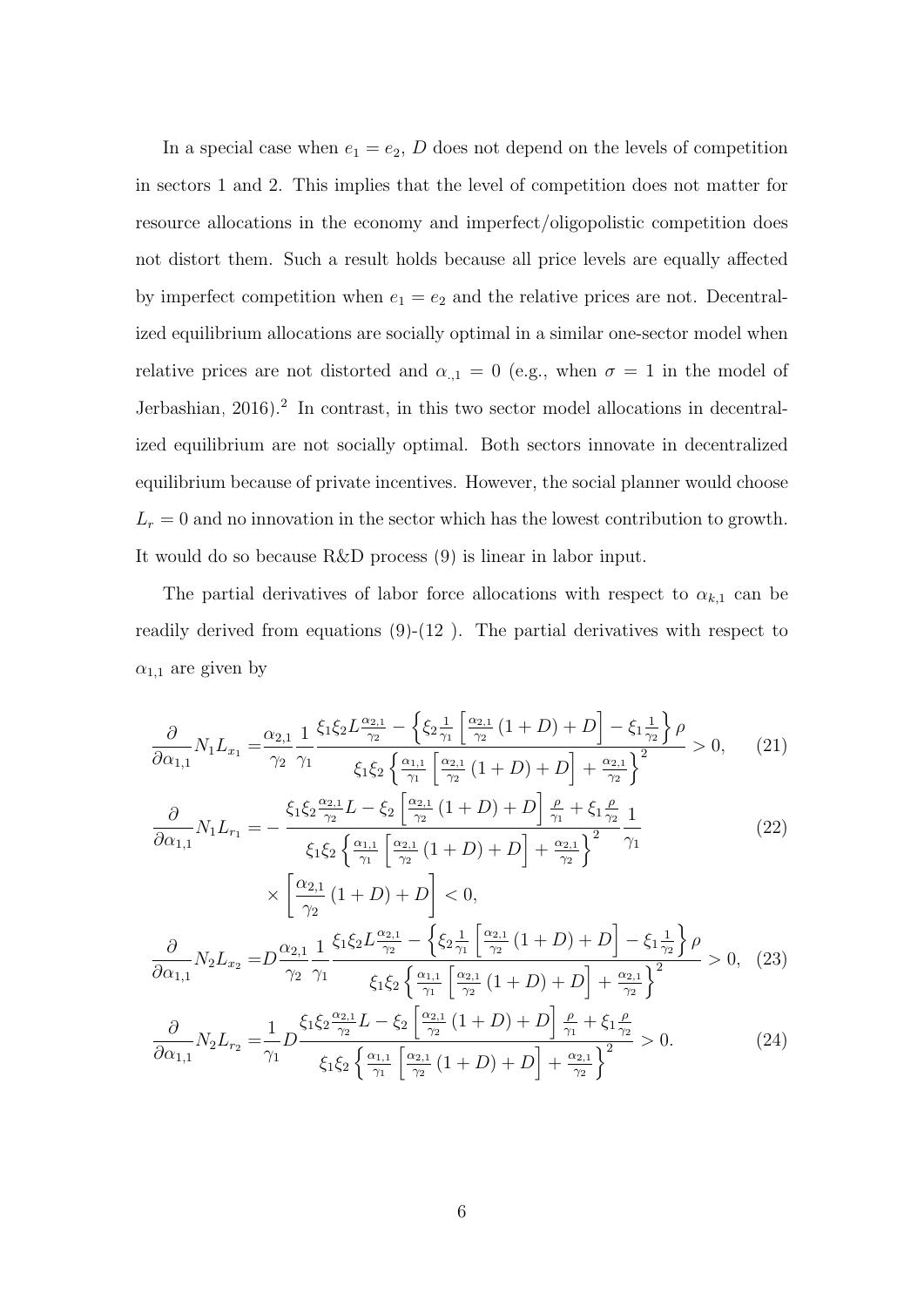In a special case when  $e_1 = e_2$ , D does not depend on the levels of competition in sectors 1 and 2. This implies that the level of competition does not matter for resource allocations in the economy and imperfect/oligopolistic competition does not distort them. Such a result holds because all price levels are equally affected by imperfect competition when  $e_1 = e_2$  and the relative prices are not. Decentralized equilibrium allocations are socially optimal in a similar one-sector model when relative prices are not distorted and  $\alpha_{1} = 0$  (e.g., when  $\sigma = 1$  in the model of [Jerbashian, 2016\)](#page-19-0).<sup>2</sup> In contrast, in this two sector model allocations in decentralized equilibrium are not socially optimal. Both sectors innovate in decentralized equilibrium because of private incentives. However, the social planner would choose  $L_r = 0$  and no innovation in the sector which has the lowest contribution to growth. It would do so because R&D process [\(9\)](#page-0-0) is linear in labor input.

The partial derivatives of labor force allocations with respect to  $\alpha_{k,1}$  can be readily derived from equations  $(9)-(12)$  $(9)-(12)$  $(9)-(12)$ . The partial derivatives with respect to  $\alpha_{1,1}$  are given by

<span id="page-5-0"></span>
$$
\frac{\partial}{\partial \alpha_{1,1}} N_1 L_{x_1} = \frac{\alpha_{2,1}}{\gamma_2} \frac{1}{\gamma_1} \frac{\xi_1 \xi_2 L \frac{\alpha_{2,1}}{\gamma_2} - \left\{ \xi_2 \frac{1}{\gamma_1} \left[ \frac{\alpha_{2,1}}{\gamma_2} (1+D) + D \right] - \xi_1 \frac{1}{\gamma_2} \right\} \rho}{\xi_1 \xi_2 \left\{ \frac{\alpha_{1,1}}{\gamma_1} \left[ \frac{\alpha_{2,1}}{\gamma_2} (1+D) + D \right] + \frac{\alpha_{2,1}}{\gamma_2} \right\}^2} > 0, \quad (21)
$$

$$
\frac{\partial}{\partial \alpha_{1,1}} N_1 L_{r_1} = -\frac{\xi_1 \xi_2 \frac{\alpha_{2,1}}{\gamma_2} L - \xi_2 \left[ \frac{\alpha_{2,1}}{\gamma_2} \left( 1 + D \right) + D \right] \frac{\rho}{\gamma_1} + \xi_1 \frac{\rho}{\gamma_2}}{\xi_1 \xi_2 \left\{ \frac{\alpha_{1,1}}{\gamma_1} \left[ \frac{\alpha_{2,1}}{\gamma_2} \left( 1 + D \right) + D \right] + \frac{\alpha_{2,1}}{\gamma_2} \right\}^2} \frac{1}{\gamma_1}
$$
\n
$$
\sqrt{\left[ \frac{\alpha_{2,1}}{\gamma_1} \left( 1 + D \right) + D \right]} \leq 0
$$
\n(22)

$$
\times \left[ \frac{\alpha_{2,1}}{\gamma_2} (1+D) + D \right] < 0,
$$
\n
$$
\frac{\partial}{\partial \alpha_{1,1}} N_2 L_{x_2} = D \frac{\alpha_{2,1}}{\gamma_2} \frac{1}{\gamma_1} \frac{\xi_1 \xi_2 L \frac{\alpha_{2,1}}{\gamma_2} - \left\{ \xi_2 \frac{1}{\gamma_1} \left[ \frac{\alpha_{2,1}}{\gamma_2} (1+D) + D \right] - \xi_1 \frac{1}{\gamma_2} \right\} \rho}{\xi_1 \xi_2 \left\{ \frac{\alpha_{1,1}}{\gamma_1} \left[ \frac{\alpha_{2,1}}{\gamma_2} (1+D) + D \right] + \frac{\alpha_{2,1}}{\gamma_2} \right\}^2} > 0, \quad (23)
$$

$$
\frac{\partial}{\partial \alpha_{1,1}} N_2 L_{r_2} = \frac{1}{\gamma_1} D \frac{\xi_1 \xi_2 \frac{\alpha_{2,1}}{\gamma_2} L - \xi_2 \left[ \frac{\alpha_{2,1}}{\gamma_2} (1+D) + D \right] \frac{\rho}{\gamma_1} + \xi_1 \frac{\rho}{\gamma_2}}{\xi_1 \xi_2 \left\{ \frac{\alpha_{1,1}}{\gamma_1} \left[ \frac{\alpha_{2,1}}{\gamma_2} (1+D) + D \right] + \frac{\alpha_{2,1}}{\gamma_2} \right\}^2} > 0. \tag{24}
$$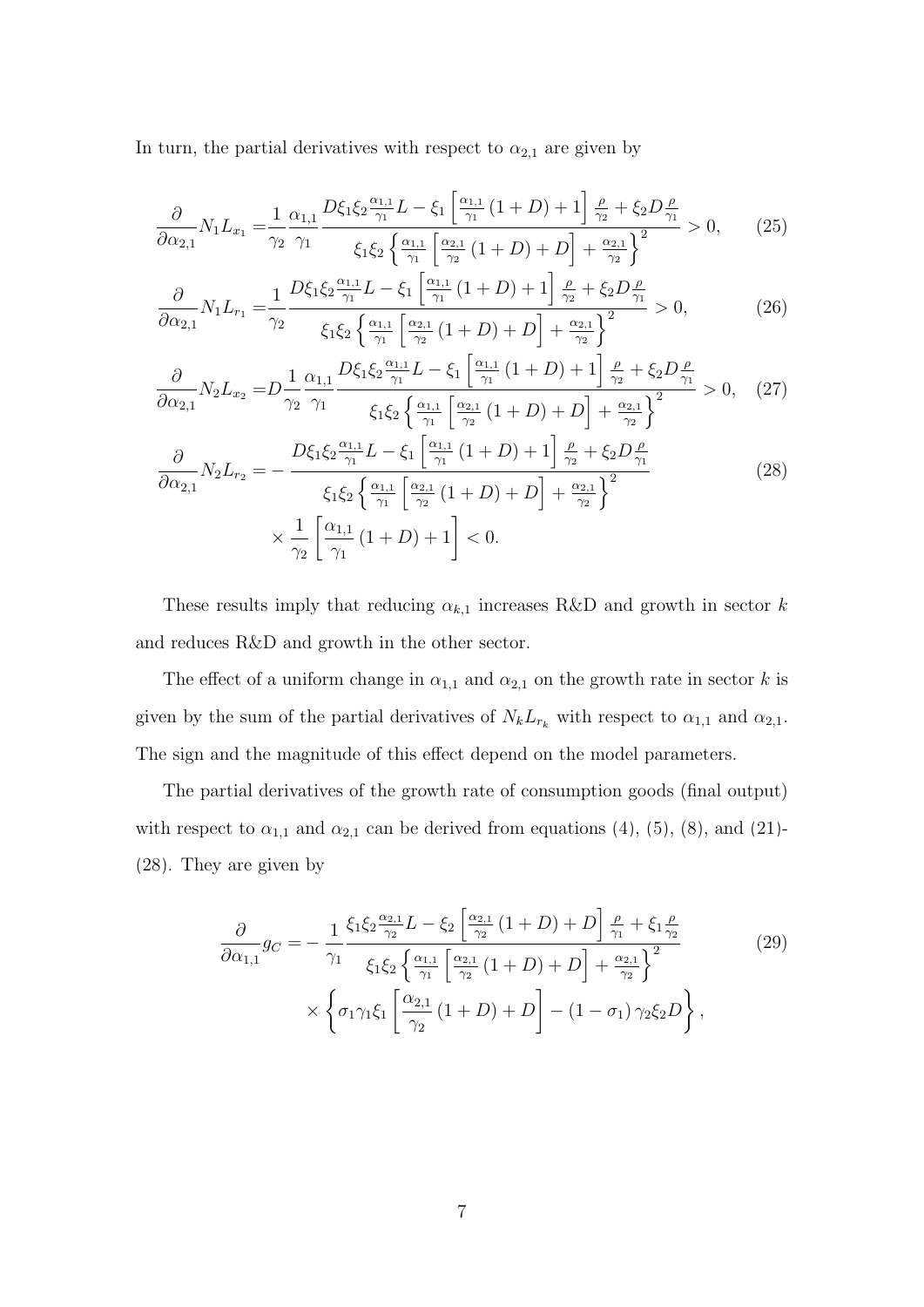In turn, the partial derivatives with respect to  $\alpha_{2,1}$  are given by

$$
\frac{\partial}{\partial \alpha_{2,1}} N_1 L_{x_1} = \frac{1}{\gamma_2} \frac{\alpha_{1,1}}{\gamma_1} \frac{D\xi_1 \xi_2 \frac{\alpha_{1,1}}{\gamma_1} L - \xi_1 \left[ \frac{\alpha_{1,1}}{\gamma_1} (1+D) + 1 \right] \frac{\rho}{\gamma_2} + \xi_2 D \frac{\rho}{\gamma_1}}{\xi_1 \xi_2 \left\{ \frac{\alpha_{1,1}}{\gamma_1} \left[ \frac{\alpha_{2,1}}{\gamma_2} (1+D) + D \right] + \frac{\alpha_{2,1}}{\gamma_2} \right\}^2} > 0, \quad (25)
$$

$$
\frac{\partial}{\partial \alpha_{2,1}} N_1 L_{r_1} = \frac{1}{\gamma_2} \frac{D\xi_1 \xi_2 \frac{\alpha_{1,1}}{\gamma_1} L - \xi_1 \left[ \frac{\alpha_{1,1}}{\gamma_1} \left( 1 + D \right) + 1 \right] \frac{\rho}{\gamma_2} + \xi_2 D \frac{\rho}{\gamma_1}}{\xi_1 \xi_2 \left\{ \frac{\alpha_{1,1}}{\gamma_1} \left[ \frac{\alpha_{2,1}}{\gamma_2} \left( 1 + D \right) + D \right] + \frac{\alpha_{2,1}}{\gamma_2} \right\}^2} > 0,
$$
\n(26)

$$
\frac{\partial}{\partial \alpha_{2,1}} N_2 L_{x_2} = D \frac{1}{\gamma_2} \frac{\alpha_{1,1}}{\gamma_1} \frac{D\xi_1 \xi_2 \frac{\alpha_{1,1}}{\gamma_1} L - \xi_1 \left[ \frac{\alpha_{1,1}}{\gamma_1} (1+D) + 1 \right] \frac{\rho}{\gamma_2} + \xi_2 D \frac{\rho}{\gamma_1}}{\xi_1 \xi_2 \left\{ \frac{\alpha_{1,1}}{\gamma_1} \left[ \frac{\alpha_{2,1}}{\gamma_2} (1+D) + D \right] + \frac{\alpha_{2,1}}{\gamma_2} \right\}^2} > 0, \quad (27)
$$

<span id="page-6-0"></span>
$$
\frac{\partial}{\partial \alpha_{2,1}} N_2 L_{r_2} = -\frac{D\xi_1 \xi_2 \frac{\alpha_{1,1}}{\gamma_1} L - \xi_1 \left[ \frac{\alpha_{1,1}}{\gamma_1} (1+D) + 1 \right] \frac{\rho}{\gamma_2} + \xi_2 D \frac{\rho}{\gamma_1}}{\xi_1 \xi_2 \left\{ \frac{\alpha_{1,1}}{\gamma_1} \left[ \frac{\alpha_{2,1}}{\gamma_2} (1+D) + D \right] + \frac{\alpha_{2,1}}{\gamma_2} \right\}^2} \times \frac{1}{\gamma_2} \left[ \frac{\alpha_{1,1}}{\gamma_1} (1+D) + 1 \right] < 0.
$$
\n(28)

These results imply that reducing  $\alpha_{k,1}$  increases R&D and growth in sector k and reduces R&D and growth in the other sector.

The effect of a uniform change in  $\alpha_{1,1}$  and  $\alpha_{2,1}$  on the growth rate in sector k is given by the sum of the partial derivatives of  $N_kL_{r_k}$  with respect to  $\alpha_{1,1}$  and  $\alpha_{2,1}$ . The sign and the magnitude of this effect depend on the model parameters.

The partial derivatives of the growth rate of consumption goods (final output) with respect to  $\alpha_{1,1}$  and  $\alpha_{2,1}$  can be derived from equations [\(4\)](#page-0-0), [\(5\)](#page-0-0), [\(8\)](#page-0-0), and [\(21\)](#page-5-0)-[\(28\)](#page-6-0). They are given by

$$
\frac{\partial}{\partial \alpha_{1,1}} g_C = -\frac{1}{\gamma_1} \frac{\xi_1 \xi_2 \frac{\alpha_{2,1}}{\gamma_2} L - \xi_2 \left[ \frac{\alpha_{2,1}}{\gamma_2} (1+D) + D \right] \frac{\rho}{\gamma_1} + \xi_1 \frac{\rho}{\gamma_2}}{\xi_1 \xi_2 \left\{ \frac{\alpha_{1,1}}{\gamma_1} \left[ \frac{\alpha_{2,1}}{\gamma_2} (1+D) + D \right] + \frac{\alpha_{2,1}}{\gamma_2} \right\}^2} \times \left\{ \sigma_1 \gamma_1 \xi_1 \left[ \frac{\alpha_{2,1}}{\gamma_2} (1+D) + D \right] - (1-\sigma_1) \gamma_2 \xi_2 D \right\},
$$
\n(29)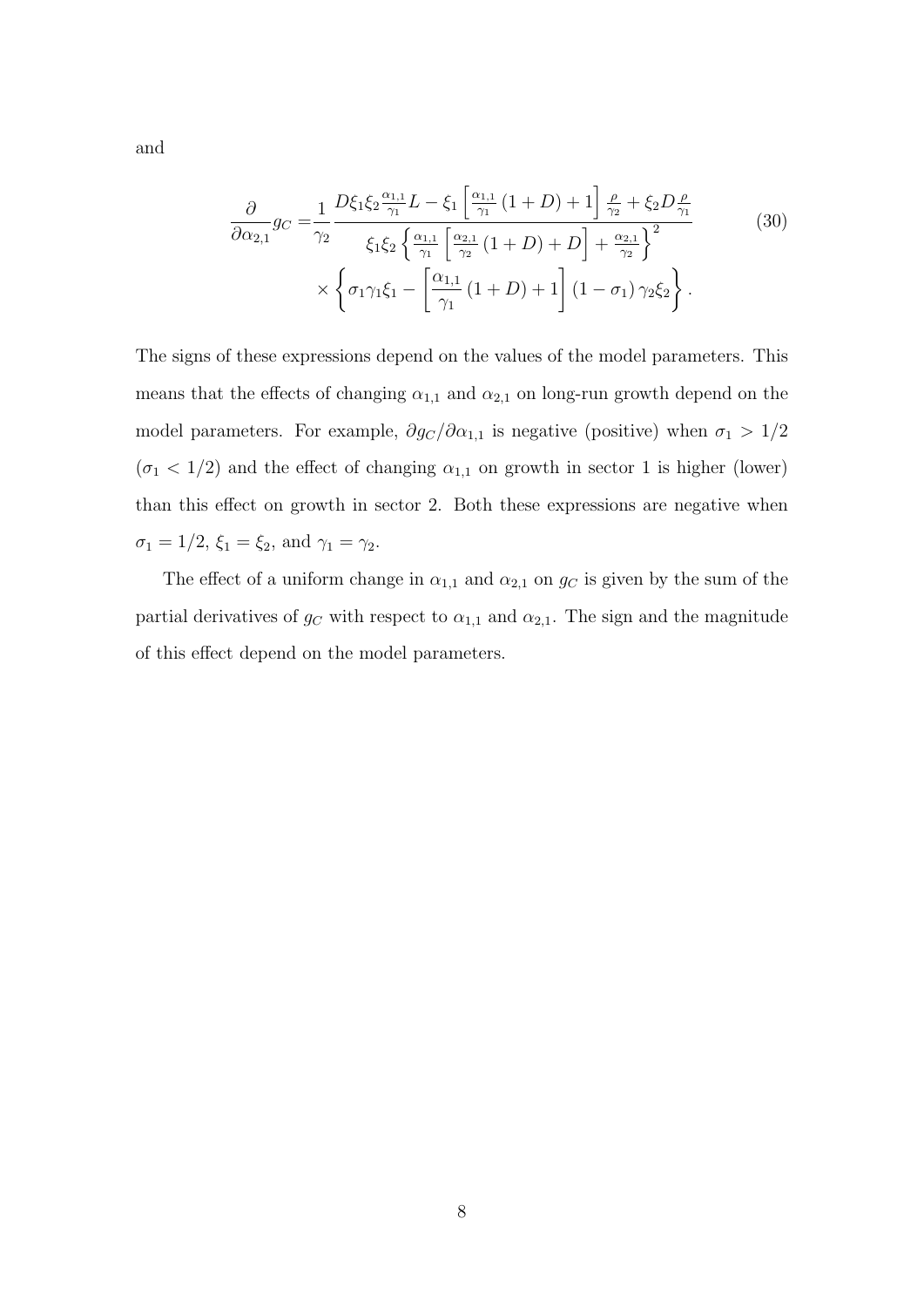and

$$
\frac{\partial}{\partial \alpha_{2,1}} g_C = \frac{1}{\gamma_2} \frac{D\xi_1 \xi_2 \frac{\alpha_{1,1}}{\gamma_1} L - \xi_1 \left[ \frac{\alpha_{1,1}}{\gamma_1} (1+D) + 1 \right] \frac{\rho}{\gamma_2} + \xi_2 D \frac{\rho}{\gamma_1}}{\xi_1 \xi_2 \left\{ \frac{\alpha_{1,1}}{\gamma_1} \left[ \frac{\alpha_{2,1}}{\gamma_2} (1+D) + D \right] + \frac{\alpha_{2,1}}{\gamma_2} \right\}^2} \times \left\{ \sigma_1 \gamma_1 \xi_1 - \left[ \frac{\alpha_{1,1}}{\gamma_1} (1+D) + 1 \right] (1-\sigma_1) \gamma_2 \xi_2 \right\}.
$$
\n(30)

The signs of these expressions depend on the values of the model parameters. This means that the effects of changing  $\alpha_{1,1}$  and  $\alpha_{2,1}$  on long-run growth depend on the model parameters. For example,  $\partial g_C/\partial \alpha_{1,1}$  is negative (positive) when  $\sigma_1 > 1/2$  $(\sigma_1$  < 1/2) and the effect of changing  $\alpha_{1,1}$  on growth in sector 1 is higher (lower) than this effect on growth in sector 2. Both these expressions are negative when  $\sigma_1 = 1/2$ ,  $\xi_1 = \xi_2$ , and  $\gamma_1 = \gamma_2$ .

The effect of a uniform change in  $\alpha_{1,1}$  and  $\alpha_{2,1}$  on  $g_C$  is given by the sum of the partial derivatives of  $g_C$  with respect to  $\alpha_{1,1}$  and  $\alpha_{2,1}$ . The sign and the magnitude of this effect depend on the model parameters.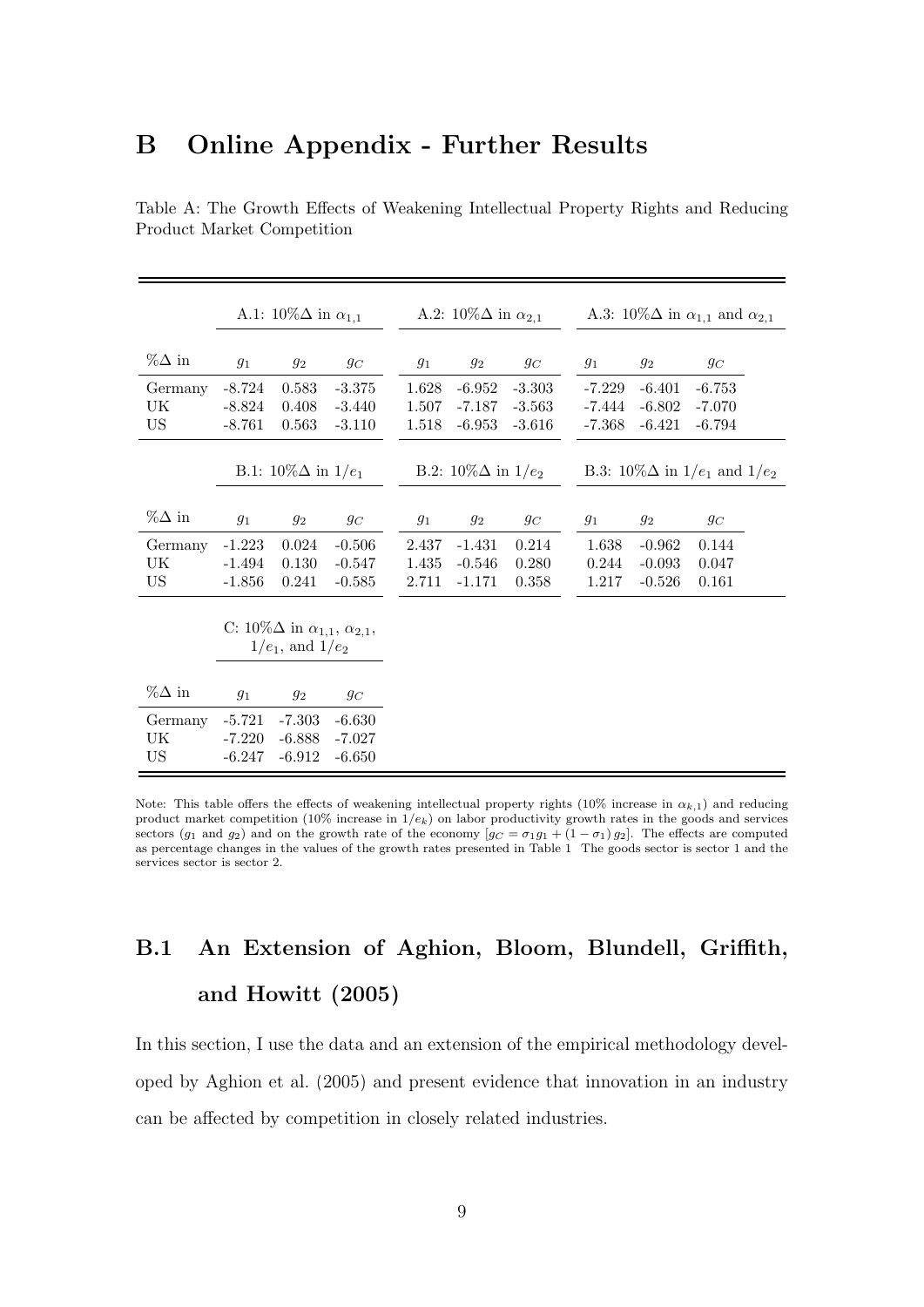#### B Online Appendix - Further Results

|               | A.1: $10\% \Delta$ in $\alpha_{1,1}$ |                                                    |          | A.2: $10\% \Delta$ in $\alpha_{2,1}$ |                               |          | A.3: $10\% \Delta$ in $\alpha_{1,1}$ and $\alpha_{2,1}$ |                                           |          |  |
|---------------|--------------------------------------|----------------------------------------------------|----------|--------------------------------------|-------------------------------|----------|---------------------------------------------------------|-------------------------------------------|----------|--|
| $\%\Delta$ in | $g_1$                                | $g_2$                                              | $g_C$    | $g_1$                                | $g_2$                         | $g_C$    | $g_1$                                                   | $g_2$                                     | $g_C$    |  |
| Germany       | $-8.724$                             | 0.583                                              | $-3.375$ | 1.628                                | $-6.952$                      | $-3.303$ | $-7.229$                                                | $-6.401$                                  | $-6.753$ |  |
| UK            | $-8.824$                             | 0.408                                              | $-3.440$ | 1.507                                | $-7.187$                      | $-3.563$ | $-7.444$                                                | $-6.802$                                  | $-7.070$ |  |
| US            | $-8.761$                             | 0.563                                              | $-3.110$ | 1.518                                | $-6.953$                      | $-3.616$ | $-7.368$                                                | $-6.421$                                  | $-6.794$ |  |
|               |                                      |                                                    |          |                                      |                               |          |                                                         |                                           |          |  |
|               |                                      | B.1: $10\% \Delta$ in $1/e_1$                      |          |                                      | B.2: $10\% \Delta$ in $1/e_2$ |          |                                                         | B.3: $10\% \Delta$ in $1/e_1$ and $1/e_2$ |          |  |
|               |                                      |                                                    |          |                                      |                               |          |                                                         |                                           |          |  |
| $\%\Delta$ in | $g_1$                                | $g_2$                                              | $g_C$    | $g_1$                                | $g_2$                         | $g_C$    | $g_1$                                                   | $g_2$                                     | $g_C$    |  |
| Germany       | $-1.223$                             | 0.024                                              | $-0.506$ | 2.437                                | $-1.431$                      | 0.214    | 1.638                                                   | $-0.962$                                  | 0.144    |  |
| UK            | $-1.494$                             | 0.130                                              | $-0.547$ | 1.435                                | $-0.546$                      | 0.280    | 0.244                                                   | $-0.093$                                  | 0.047    |  |
| US            | $-1.856$                             | 0.241                                              | $-0.585$ | 2.711                                | $-1.171$                      | 0.358    | 1.217                                                   | $-0.526$                                  | 0.161    |  |
|               |                                      |                                                    |          |                                      |                               |          |                                                         |                                           |          |  |
|               |                                      | C: $10\% \Delta$ in $\alpha_{1,1}, \alpha_{2,1}$ , |          |                                      |                               |          |                                                         |                                           |          |  |
|               |                                      | $1/e_1$ , and $1/e_2$                              |          |                                      |                               |          |                                                         |                                           |          |  |
|               |                                      |                                                    |          |                                      |                               |          |                                                         |                                           |          |  |
| $\%\Delta$ in | $g_1$                                | $g_2$                                              | $g_C$    |                                      |                               |          |                                                         |                                           |          |  |
| Germany       | $-5.721$                             | $-7.303$                                           | $-6.630$ |                                      |                               |          |                                                         |                                           |          |  |
| UK            | $-7.220$                             | $-6.888$                                           | $-7.027$ |                                      |                               |          |                                                         |                                           |          |  |
| US            | $-6.247$                             | $-6.912$                                           | $-6.650$ |                                      |                               |          |                                                         |                                           |          |  |

Table A: The Growth Effects of Weakening Intellectual Property Rights and Reducing Product Market Competition

Note: This table offers the effects of weakening intellectual property rights (10% increase in  $\alpha_{k,1}$ ) and reducing product market competition (10% increase in  $1/e_k$ ) on labor productivity growth rates in the goods and services sectors (g<sub>1</sub> and g<sub>2</sub>) and on the growth rate of the economy  $[g_C = \sigma_1 g_1 + (1 - \sigma_1) g_2]$ . The effects are computed as percentage changes in the values of the growth rates presented in Table [1.](#page-15-0) The goods sector is sector 1 and the services sector is sector 2.

# B.1 An Extension of [Aghion, Bloom, Blundell, Griffith,](#page-19-1) [and Howitt](#page-19-1) [\(2005\)](#page-19-1)

In this section, I use the data and an extension of the empirical methodology developed by [Aghion et al. \(2005\)](#page-19-1) and present evidence that innovation in an industry can be affected by competition in closely related industries.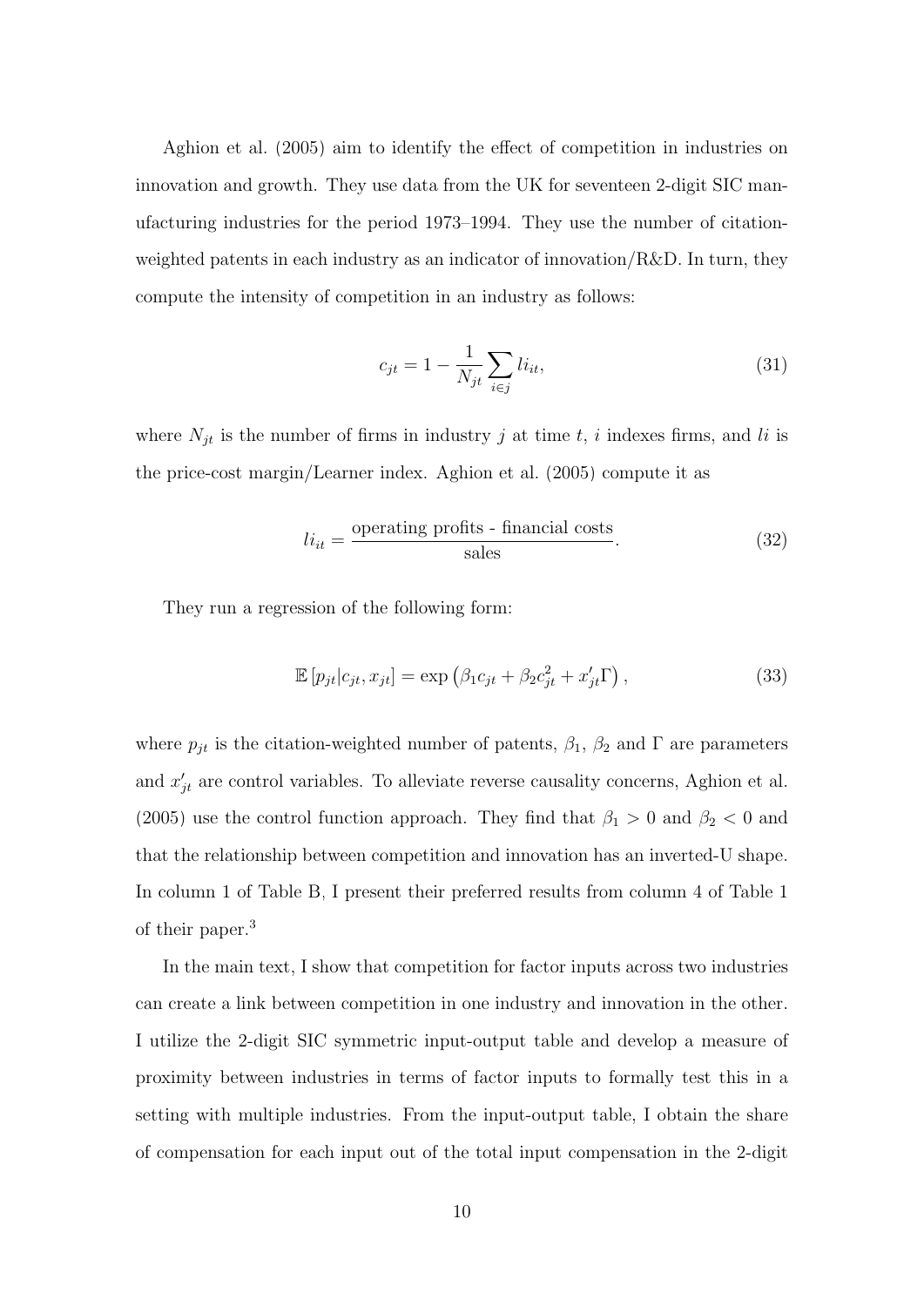[Aghion et al. \(2005\)](#page-19-1) aim to identify the effect of competition in industries on innovation and growth. They use data from the UK for seventeen 2-digit SIC manufacturing industries for the period 1973–1994. They use the number of citationweighted patents in each industry as an indicator of innovation/ $R&D$ . In turn, they compute the intensity of competition in an industry as follows:

$$
c_{jt} = 1 - \frac{1}{N_{jt}} \sum_{i \in j} l i_{it},
$$
\n(31)

where  $N_{jt}$  is the number of firms in industry j at time t, i indexes firms, and li is the price-cost margin/Learner index. [Aghion et al. \(2005\)](#page-19-1) compute it as

$$
li_{it} = \frac{\text{operating profits - financial costs}}{\text{sales}}.\tag{32}
$$

They run a regression of the following form:

<span id="page-9-0"></span>
$$
\mathbb{E}\left[p_{jt}|c_{jt}, x_{jt}\right] = \exp\left(\beta_1 c_{jt} + \beta_2 c_{jt}^2 + x_{jt}' \Gamma\right),\tag{33}
$$

where  $p_{jt}$  is the citation-weighted number of patents,  $\beta_1$ ,  $\beta_2$  and  $\Gamma$  are parameters and  $x'_{jt}$  are control variables. To alleviate reverse causality concerns, [Aghion et al.](#page-19-1) [\(2005\)](#page-19-1) use the control function approach. They find that  $\beta_1 > 0$  and  $\beta_2 < 0$  and that the relationship between competition and innovation has an inverted-U shape. In column 1 of Table [B,](#page-11-0) I present their preferred results from column 4 of Table 1 of their paper.<sup>3</sup>

In the main text, I show that competition for factor inputs across two industries can create a link between competition in one industry and innovation in the other. I utilize the 2-digit SIC symmetric input-output table and develop a measure of proximity between industries in terms of factor inputs to formally test this in a setting with multiple industries. From the input-output table, I obtain the share of compensation for each input out of the total input compensation in the 2-digit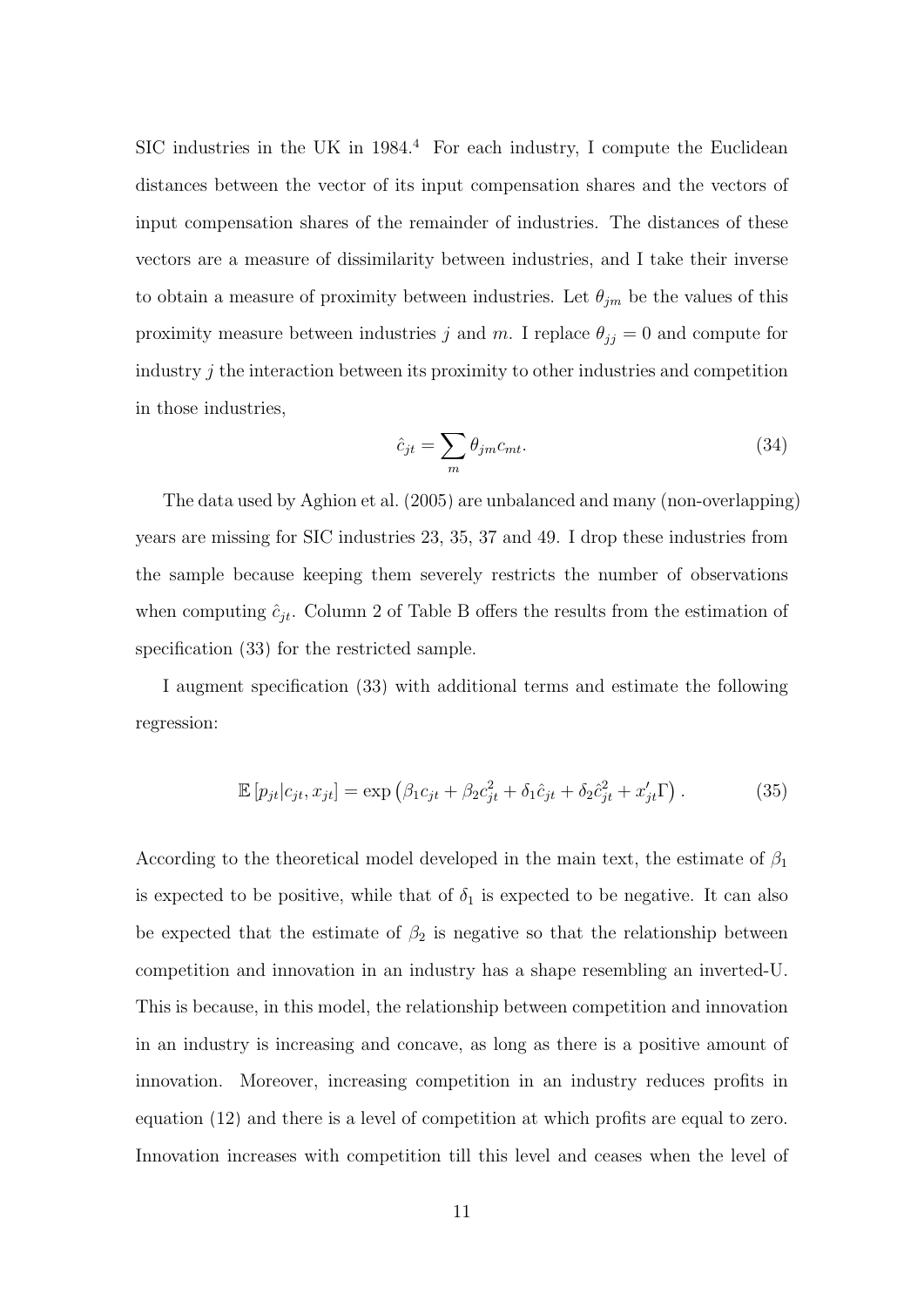SIC industries in the UK in  $1984<sup>4</sup>$  For each industry, I compute the Euclidean distances between the vector of its input compensation shares and the vectors of input compensation shares of the remainder of industries. The distances of these vectors are a measure of dissimilarity between industries, and I take their inverse to obtain a measure of proximity between industries. Let  $\theta_{jm}$  be the values of this proximity measure between industries j and m. I replace  $\theta_{jj} = 0$  and compute for industry j the interaction between its proximity to other industries and competition in those industries,

$$
\hat{c}_{jt} = \sum_{m} \theta_{jm} c_{mt}.\tag{34}
$$

The data used by [Aghion et al. \(2005\)](#page-19-1) are unbalanced and many (non-overlapping) years are missing for SIC industries 23, 35, 37 and 49. I drop these industries from the sample because keeping them severely restricts the number of observations when computing  $\hat{c}_{jt}$ . Column 2 of Table [B](#page-11-0) offers the results from the estimation of specification [\(33\)](#page-9-0) for the restricted sample.

I augment specification [\(33\)](#page-9-0) with additional terms and estimate the following regression:

<span id="page-10-0"></span>
$$
\mathbb{E}\left[p_{jt}|c_{jt}, x_{jt}\right] = \exp\left(\beta_1 c_{jt} + \beta_2 c_{jt}^2 + \delta_1 \hat{c}_{jt} + \delta_2 \hat{c}_{jt}^2 + x_{jt}' \Gamma\right). \tag{35}
$$

According to the theoretical model developed in the main text, the estimate of  $\beta_1$ is expected to be positive, while that of  $\delta_1$  is expected to be negative. It can also be expected that the estimate of  $\beta_2$  is negative so that the relationship between competition and innovation in an industry has a shape resembling an inverted-U. This is because, in this model, the relationship between competition and innovation in an industry is increasing and concave, as long as there is a positive amount of innovation. Moreover, increasing competition in an industry reduces profits in equation [\(12\)](#page-0-0) and there is a level of competition at which profits are equal to zero. Innovation increases with competition till this level and ceases when the level of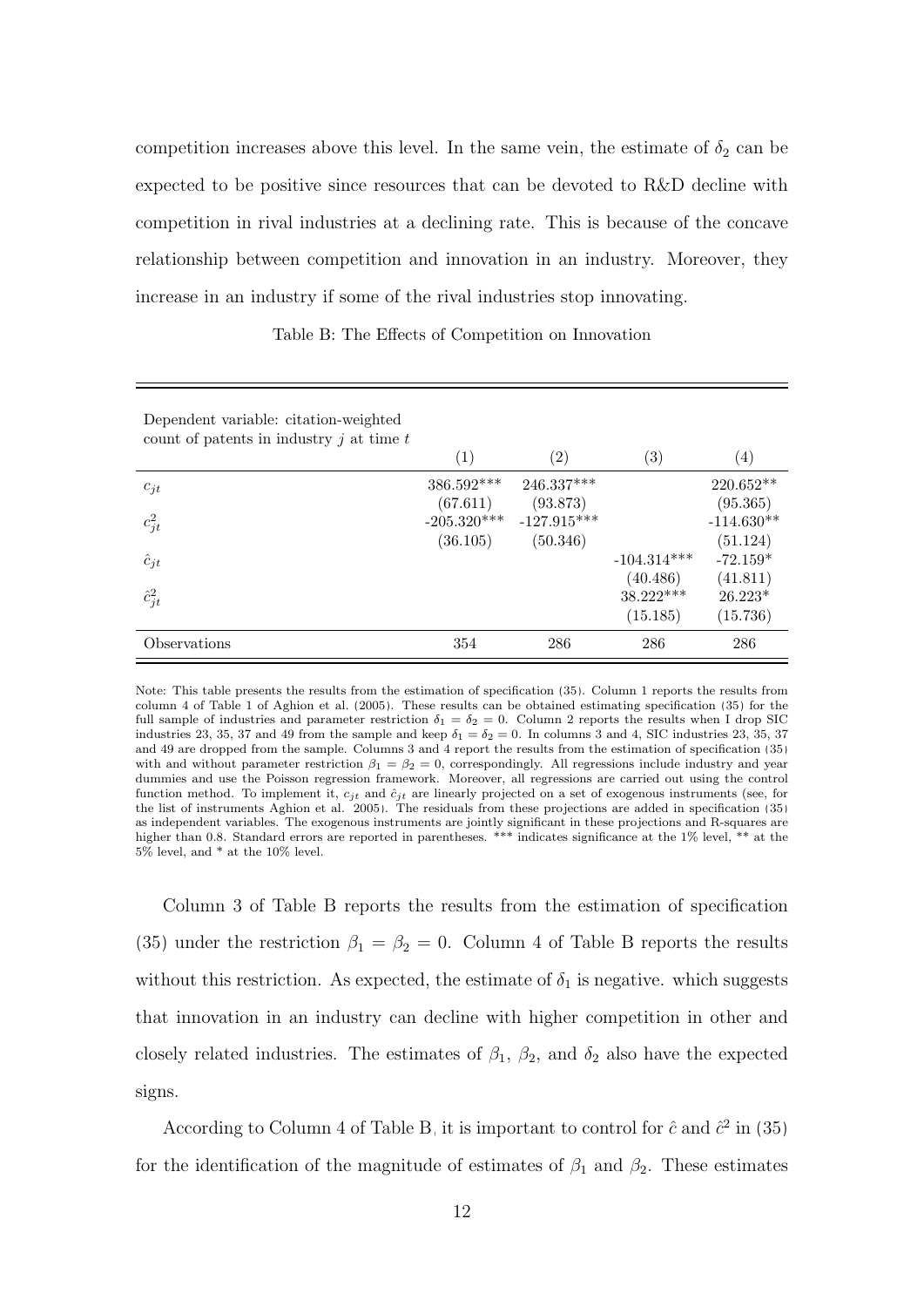competition increases above this level. In the same vein, the estimate of  $\delta_2$  can be expected to be positive since resources that can be devoted to R&D decline with competition in rival industries at a declining rate. This is because of the concave relationship between competition and innovation in an industry. Moreover, they increase in an industry if some of the rival industries stop innovating.

Table B: The Effects of Competition on Innovation

<span id="page-11-0"></span>

| Dependent variable: citation-weighted<br>count of patents in industry $j$ at time $t$ | (1)                       | $\left( 2\right)$         | $\left( 3\right)$                 | $\left( 4\right)$                 |
|---------------------------------------------------------------------------------------|---------------------------|---------------------------|-----------------------------------|-----------------------------------|
| $c_{jt}$                                                                              | 386.592***<br>(67.611)    | 246.337***<br>(93.873)    |                                   | 220.652**<br>(95.365)             |
| $c_{jt}^2$                                                                            | $-205.320***$<br>(36.105) | $-127.915***$<br>(50.346) |                                   | $-114.630**$<br>(51.124)          |
| $\hat{c}_{jt}$                                                                        |                           |                           | $-104.314***$                     | $-72.159*$                        |
| $\hat{c}_{jt}^2$                                                                      |                           |                           | (40.486)<br>38.222***<br>(15.185) | (41.811)<br>$26.223*$<br>(15.736) |
| Observations                                                                          | 354                       | 286                       | 286                               | 286                               |

Note: This table presents the results from the estimation of specification [\(35\)](#page-10-0). Column 1 reports the results from column 4 of Table 1 of [Aghion et al.](#page-19-1) [\(2005\)](#page-19-1). These results can be obtained estimating specification [\(35\)](#page-10-0) for the full sample of industries and parameter restriction  $\delta_1 = \delta_2 = 0$ . Column 2 reports the results when I drop SIC industries 23, 35, 37 and 49 from the sample and keep  $\delta_1 = \delta_2 = 0$ . In columns 3 and 4, SIC industries 23, 35, 37 and 49 are dropped from the sample. Columns 3 and 4 report the results from the estimation of specification [\(35\)](#page-10-0) with and without parameter restriction  $\beta_1 = \beta_2 = 0$ , correspondingly. All regressions include industry and year dummies and use the Poisson regression framework. Moreover, all regressions are carried out using the control function method. To implement it,  $c_{jt}$  and  $\hat{c}_{jt}$  are linearly projected on a set of exogenous instruments (see, for the list of instruments [Aghion et al., 2005\)](#page-19-1). The residuals from these projections are added in specification [\(35\)](#page-10-0) as independent variables. The exogenous instruments are jointly significant in these projections and R-squares are higher than 0.8. Standard errors are reported in parentheses. \*\*\* indicates significance at the 1% level, \*\* at the 5% level, and \* at the 10% level.

Column 3 of Table [B](#page-11-0) reports the results from the estimation of specification [\(35\)](#page-10-0) under the restriction  $\beta_1 = \beta_2 = 0$ . Column 4 of Table [B](#page-11-0) reports the results without this restriction. As expected, the estimate of  $\delta_1$  is negative. which suggests that innovation in an industry can decline with higher competition in other and closely related industries. The estimates of  $\beta_1$ ,  $\beta_2$ , and  $\delta_2$  also have the expected signs.

According to Column 4 of Table [B,](#page-11-0) it is important to control for  $\hat{c}$  and  $\hat{c}^2$  in [\(35\)](#page-10-0) for the identification of the magnitude of estimates of  $\beta_1$  and  $\beta_2$ . These estimates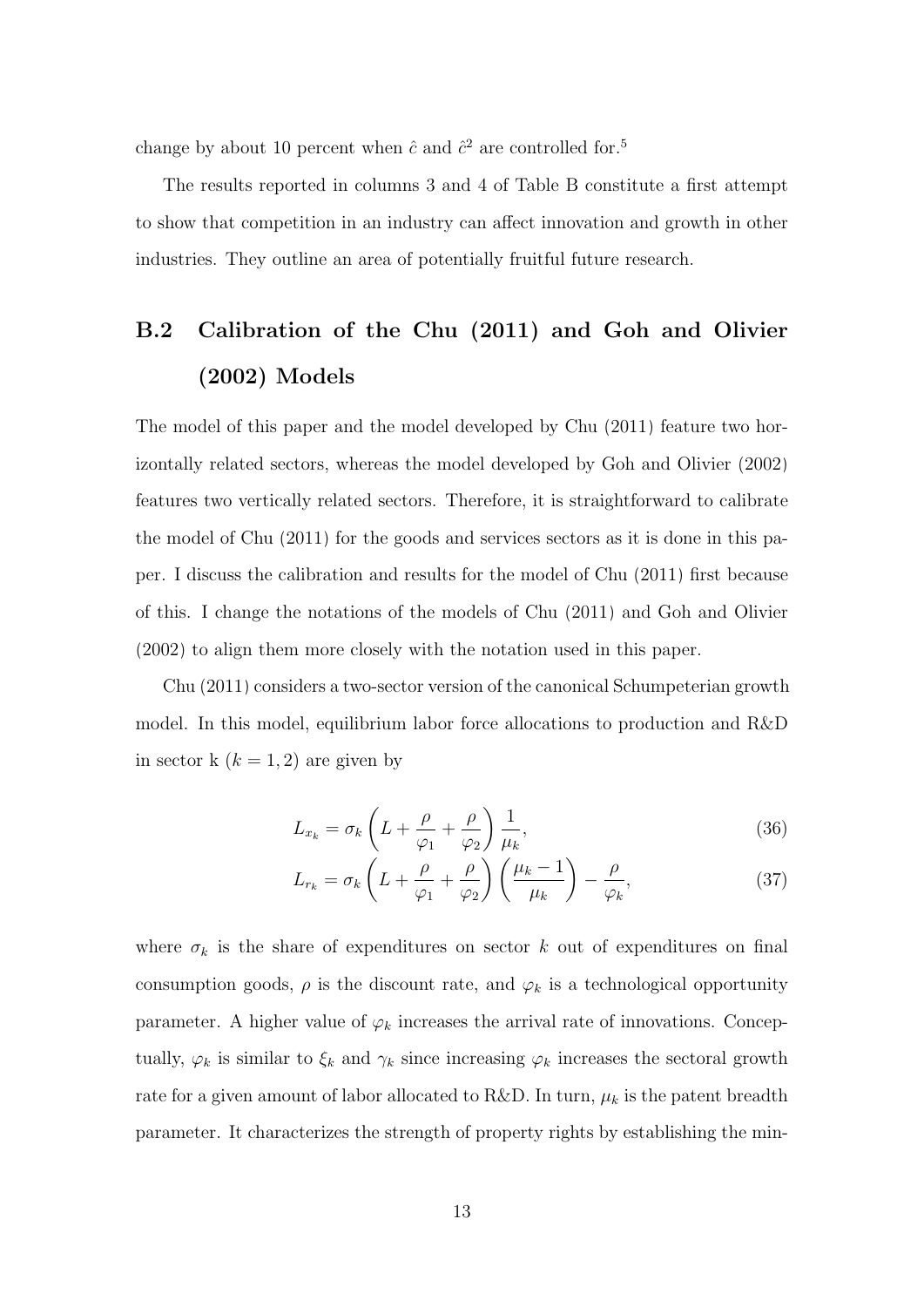change by about 10 percent when  $\hat{c}$  and  $\hat{c}^2$  are controlled for.<sup>5</sup>

The results reported in columns 3 and 4 of Table [B](#page-11-0) constitute a first attempt to show that competition in an industry can affect innovation and growth in other industries. They outline an area of potentially fruitful future research.

# B.2 Calibration of the [Chu](#page-19-2) [\(2011\)](#page-19-2) and [Goh and Olivier](#page-19-3) [\(2002\)](#page-19-3) Models

The model of this paper and the model developed by [Chu \(2011\)](#page-19-2) feature two horizontally related sectors, whereas the model developed by [Goh and Olivier \(2002\)](#page-19-3) features two vertically related sectors. Therefore, it is straightforward to calibrate the model of [Chu \(2011\)](#page-19-2) for the goods and services sectors as it is done in this paper. I discuss the calibration and results for the model of [Chu \(2011\)](#page-19-2) first because of this. I change the notations of the models of [Chu \(2011\)](#page-19-2) and [Goh and Olivier](#page-19-3) [\(2002\)](#page-19-3) to align them more closely with the notation used in this paper.

[Chu \(2011\)](#page-19-2) considers a two-sector version of the canonical Schumpeterian growth model. In this model, equilibrium labor force allocations to production and R&D in sector k  $(k = 1, 2)$  are given by

<span id="page-12-1"></span><span id="page-12-0"></span>
$$
L_{x_k} = \sigma_k \left( L + \frac{\rho}{\varphi_1} + \frac{\rho}{\varphi_2} \right) \frac{1}{\mu_k},\tag{36}
$$

$$
L_{r_k} = \sigma_k \left( L + \frac{\rho}{\varphi_1} + \frac{\rho}{\varphi_2} \right) \left( \frac{\mu_k - 1}{\mu_k} \right) - \frac{\rho}{\varphi_k},\tag{37}
$$

where  $\sigma_k$  is the share of expenditures on sector k out of expenditures on final consumption goods,  $\rho$  is the discount rate, and  $\varphi_k$  is a technological opportunity parameter. A higher value of  $\varphi_k$  increases the arrival rate of innovations. Conceptually,  $\varphi_k$  is similar to  $\xi_k$  and  $\gamma_k$  since increasing  $\varphi_k$  increases the sectoral growth rate for a given amount of labor allocated to R&D. In turn,  $\mu_k$  is the patent breadth parameter. It characterizes the strength of property rights by establishing the min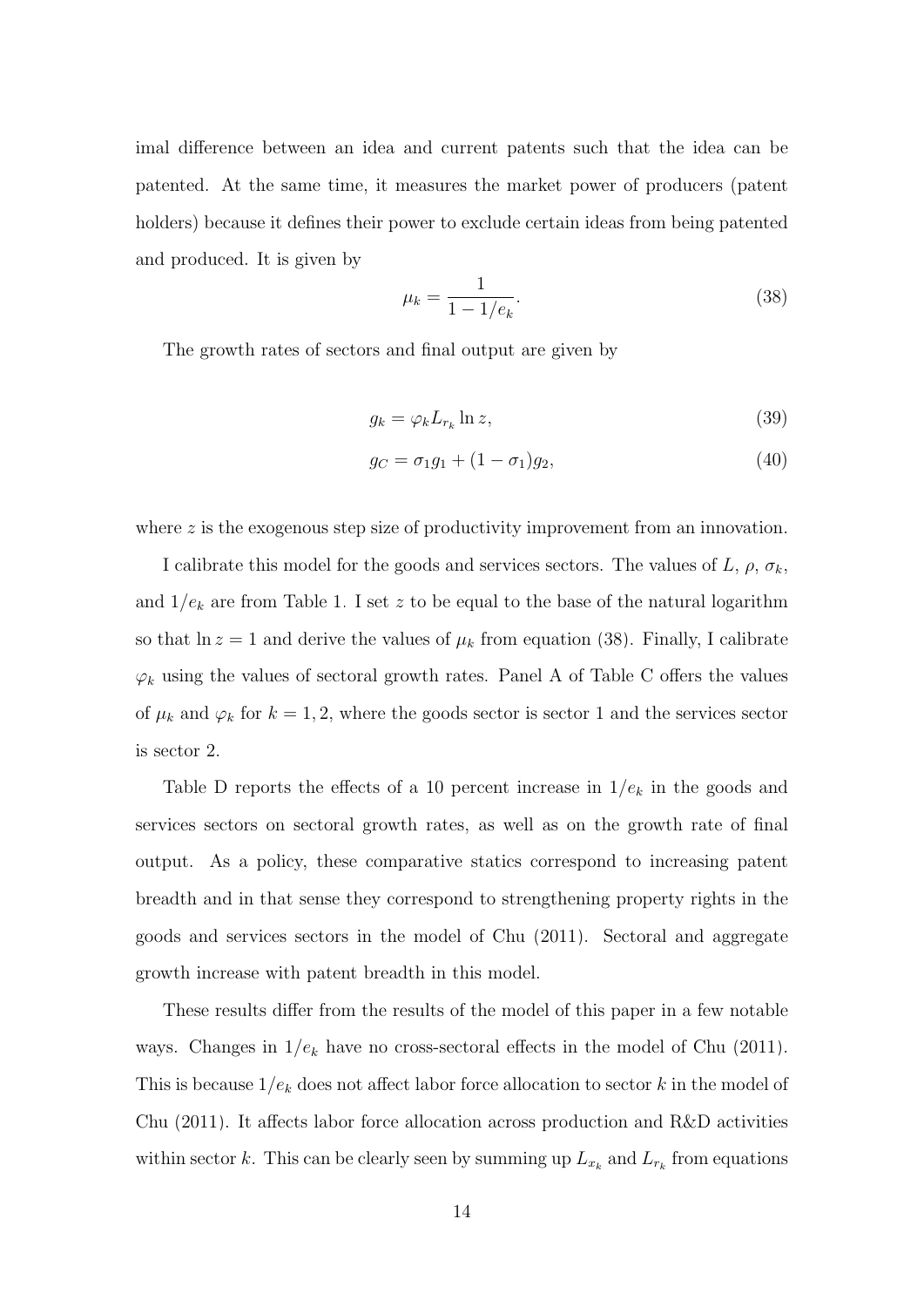imal difference between an idea and current patents such that the idea can be patented. At the same time, it measures the market power of producers (patent holders) because it defines their power to exclude certain ideas from being patented and produced. It is given by

<span id="page-13-0"></span>
$$
\mu_k = \frac{1}{1 - 1/e_k}.\tag{38}
$$

The growth rates of sectors and final output are given by

$$
g_k = \varphi_k L_{r_k} \ln z,\tag{39}
$$

$$
g_C = \sigma_1 g_1 + (1 - \sigma_1) g_2, \tag{40}
$$

where z is the exogenous step size of productivity improvement from an innovation.

I calibrate this model for the goods and services sectors. The values of L,  $\rho$ ,  $\sigma_k$ , and  $1/e_k$  are from Table [1.](#page-15-0) I set z to be equal to the base of the natural logarithm so that  $\ln z = 1$  and derive the values of  $\mu_k$  from equation [\(38\)](#page-13-0). Finally, I calibrate  $\varphi_k$  using the values of sectoral growth rates. Panel A of Table [C](#page-14-0) offers the values of  $\mu_k$  and  $\varphi_k$  for  $k = 1, 2$ , where the goods sector is sector 1 and the services sector is sector 2.

Table [D](#page-15-0) reports the effects of a 10 percent increase in  $1/e_k$  in the goods and services sectors on sectoral growth rates, as well as on the growth rate of final output. As a policy, these comparative statics correspond to increasing patent breadth and in that sense they correspond to strengthening property rights in the goods and services sectors in the model of [Chu \(2011\)](#page-19-2). Sectoral and aggregate growth increase with patent breadth in this model.

These results differ from the results of the model of this paper in a few notable ways. Changes in  $1/e_k$  have no cross-sectoral effects in the model of [Chu \(2011\)](#page-19-2). This is because  $1/e_k$  does not affect labor force allocation to sector k in the model of [Chu \(2011\)](#page-19-2). It affects labor force allocation across production and R&D activities within sector k. This can be clearly seen by summing up  $L_{x_k}$  and  $L_{r_k}$  from equations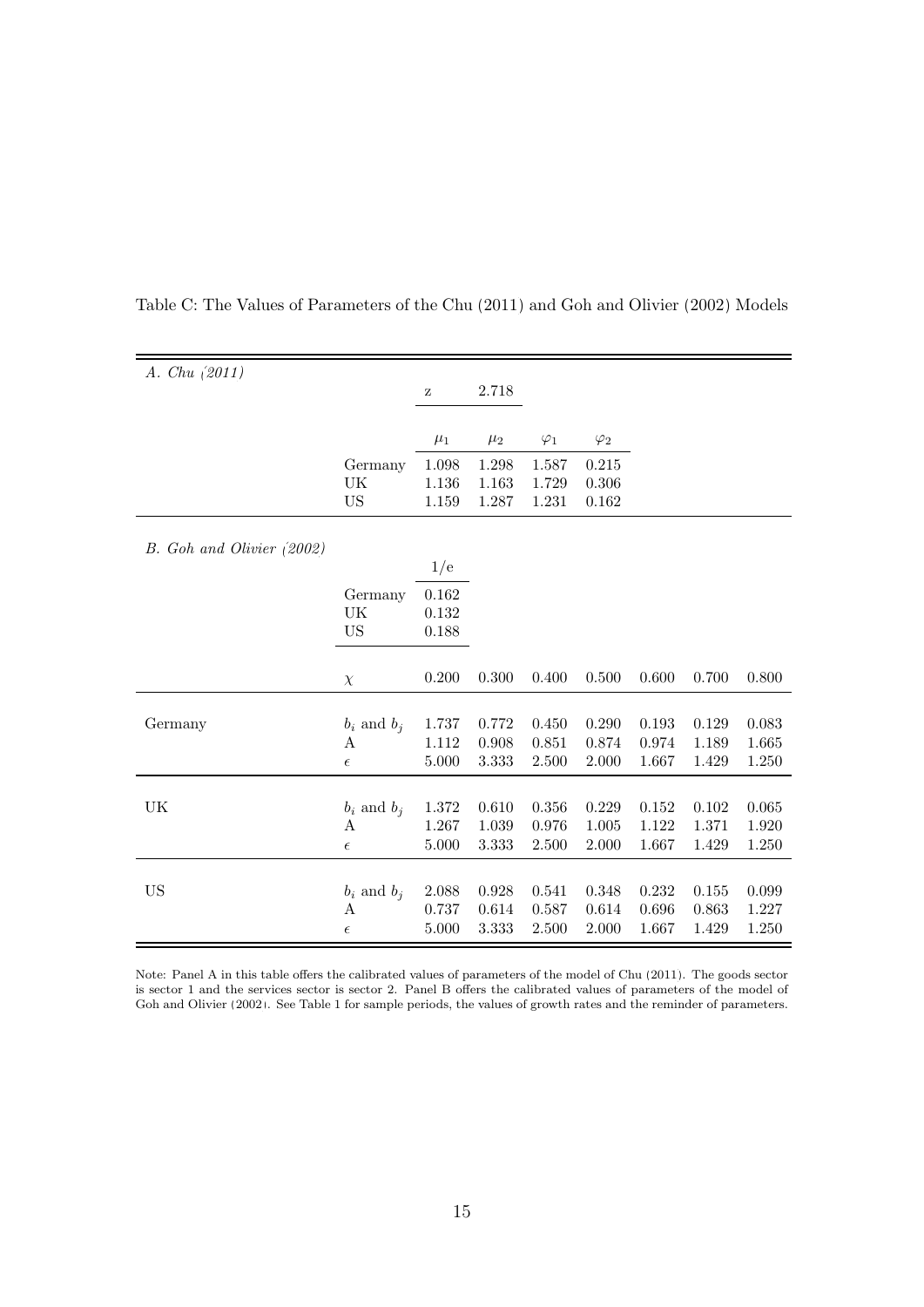| A. $Chu(2011)$            |                  |                                                       |         |             |             |           |       |       |
|---------------------------|------------------|-------------------------------------------------------|---------|-------------|-------------|-----------|-------|-------|
|                           |                  | $\mathbf{Z}% ^{T}=\mathbf{Z}^{T}\times\mathbf{Z}^{T}$ | 2.718   |             |             |           |       |       |
|                           |                  |                                                       |         |             |             |           |       |       |
|                           |                  | $\mu_1$                                               | $\mu_2$ | $\varphi_1$ | $\varphi_2$ |           |       |       |
|                           | Germany          | 1.098                                                 | 1.298   | 1.587       | 0.215       |           |       |       |
|                           | UK               | 1.136                                                 | 1.163   | 1.729       | 0.306       |           |       |       |
|                           | <b>US</b>        | 1.159                                                 | 1.287   | 1.231       | 0.162       |           |       |       |
|                           |                  |                                                       |         |             |             |           |       |       |
| B. Goh and Olivier (2002) |                  |                                                       |         |             |             |           |       |       |
|                           |                  | 1/e                                                   |         |             |             |           |       |       |
|                           | Germany          | 0.162                                                 |         |             |             |           |       |       |
|                           | UK               | 0.132                                                 |         |             |             |           |       |       |
|                           | <b>US</b>        | 0.188                                                 |         |             |             |           |       |       |
|                           |                  |                                                       |         |             |             |           |       |       |
|                           | $\chi$           | 0.200                                                 | 0.300   | 0.400       | 0.500       | 0.600     | 0.700 | 0.800 |
|                           |                  |                                                       |         |             |             |           |       |       |
| Germany                   | $b_i$ and $b_j$  | 1.737                                                 | 0.772   | 0.450       | 0.290       | 0.193     | 0.129 | 0.083 |
|                           | $\boldsymbol{A}$ | 1.112                                                 | 0.908   | 0.851       | 0.874       | 0.974     | 1.189 | 1.665 |
|                           | $\epsilon$       | 5.000                                                 | 3.333   | 2.500       | 2.000       | 1.667     | 1.429 | 1.250 |
|                           |                  |                                                       |         |             |             |           |       |       |
| UK                        | $b_i$ and $b_j$  | 1.372                                                 | 0.610   | $0.356\,$   | 0.229       | $0.152\,$ | 0.102 | 0.065 |
|                           | A                | 1.267                                                 | 1.039   | 0.976       | 1.005       | 1.122     | 1.371 | 1.920 |
|                           | $\epsilon$       | 5.000                                                 | 3.333   | 2.500       | 2.000       | 1.667     | 1.429 | 1.250 |
|                           |                  |                                                       |         |             |             |           |       |       |
| <b>US</b>                 | $b_i$ and $b_j$  | 2.088                                                 | 0.928   | 0.541       | 0.348       | 0.232     | 0.155 | 0.099 |
|                           | $\boldsymbol{A}$ | 0.737                                                 | 0.614   | 0.587       | 0.614       | 0.696     | 0.863 | 1.227 |
|                           | $\epsilon$       | 5.000                                                 | 3.333   | 2.500       | 2.000       | 1.667     | 1.429 | 1.250 |

<span id="page-14-0"></span>Table C: The Values of Parameters of the [Chu](#page-19-2) [\(2011\)](#page-19-2) and [Goh and Olivier](#page-19-3) [\(2002\)](#page-19-3) Models

Note: Panel A in this table offers the calibrated values of parameters of the model of [Chu](#page-19-2) [\(2011\)](#page-19-2). The goods sector is sector 1 and the services sector is sector 2. Panel B offers the calibrated values of parameters of the model of [Goh and Olivier](#page-19-3) [\(2002\)](#page-19-3). See Table [1](#page-15-0) for sample periods, the values of growth rates and the reminder of parameters.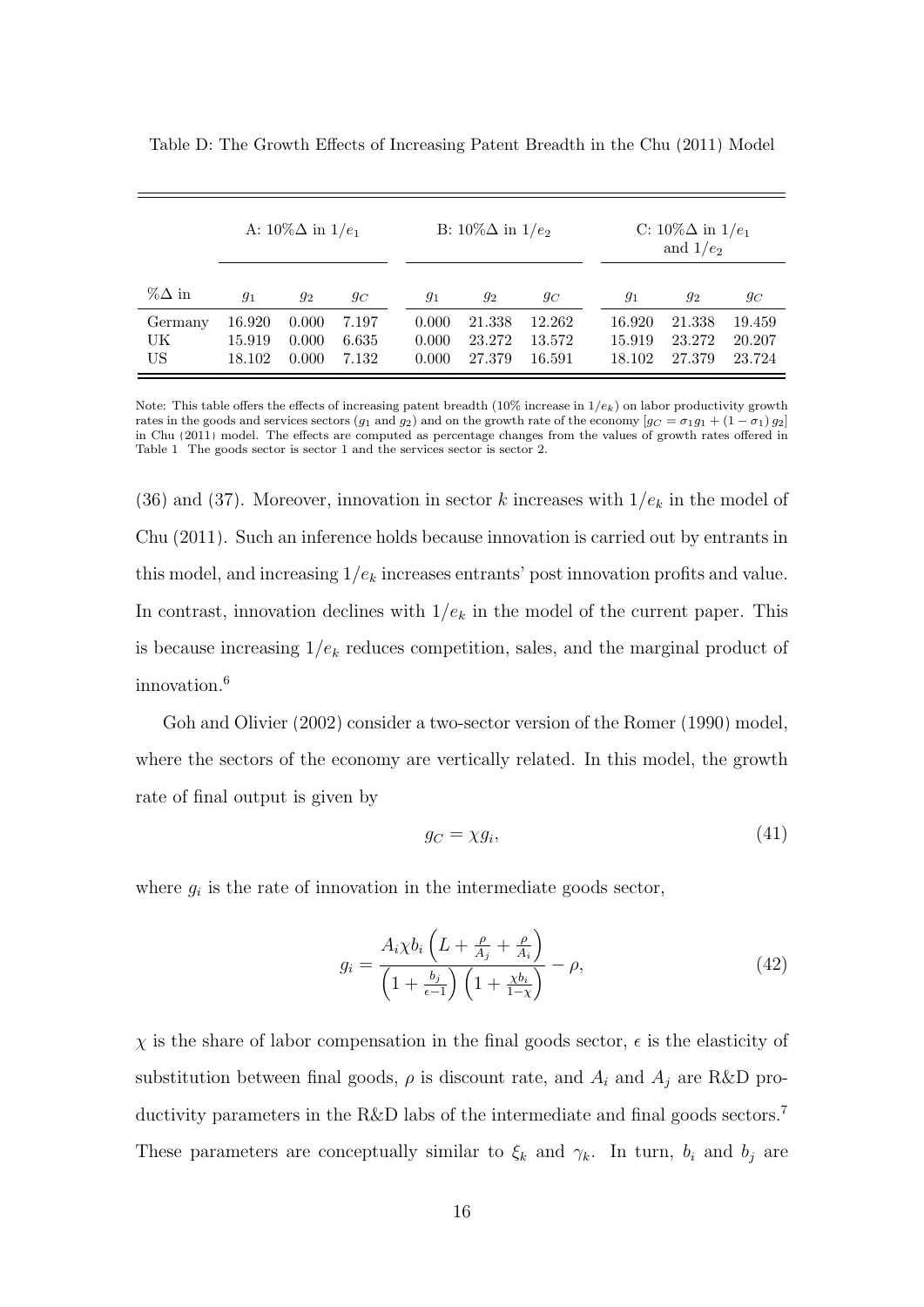|                     | A: $10\% \Delta$ in $1/e_1$ |                         |                         | B: $10\%\Delta$ in $1/e_2$ |                            |                            | C: $10\%\Delta$ in $1/e_1$<br>and $1/e_2$ |                            |                            |
|---------------------|-----------------------------|-------------------------|-------------------------|----------------------------|----------------------------|----------------------------|-------------------------------------------|----------------------------|----------------------------|
| $\%\Delta$ in       | $g_1$                       | $g_2$                   | $g_C$                   | $g_1$                      | $g_2$                      | $g_C$                      | $g_1$                                     | $g_2$                      | $g_C$                      |
| Germany<br>UK<br>US | 16.920<br>15.919<br>18.102  | 0.000<br>0.000<br>0.000 | 7.197<br>6.635<br>7.132 | 0.000<br>0.000<br>0.000    | 21.338<br>23.272<br>27.379 | 12.262<br>13.572<br>16.591 | 16.920<br>15.919<br>18.102                | 21.338<br>23.272<br>27.379 | 19.459<br>20.207<br>23.724 |

<span id="page-15-0"></span>Table D: The Growth Effects of Increasing Patent Breadth in the [Chu](#page-19-2) [\(2011\)](#page-19-2) Model

Note: This table offers the effects of increasing patent breadth (10% increase in  $1/e_k$ ) on labor productivity growth rates in the goods and services sectors (g<sub>1</sub> and g<sub>2</sub>) and on the growth rate of the economy  $[g_C = \sigma_1 g_1 + (1 - \sigma_1) g_2]$ in [Chu](#page-19-2) [\(2011\)](#page-19-2) model. The effects are computed as percentage changes from the values of growth rates offered in Table [1.](#page-15-0) The goods sector is sector 1 and the services sector is sector 2.

[\(36\)](#page-12-0) and [\(37\)](#page-12-1). Moreover, innovation in sector k increases with  $1/e_k$  in the model of [Chu \(2011\)](#page-19-2). Such an inference holds because innovation is carried out by entrants in this model, and increasing  $1/e_k$  increases entrants' post innovation profits and value. In contrast, innovation declines with  $1/e_k$  in the model of the current paper. This is because increasing  $1/e_k$  reduces competition, sales, and the marginal product of innovation.<sup>6</sup>

[Goh and Olivier \(2002\)](#page-19-3) consider a two-sector version of the [Romer \(1990\)](#page-19-4) model, where the sectors of the economy are vertically related. In this model, the growth rate of final output is given by

$$
g_C = \chi g_i,\tag{41}
$$

where  $g_i$  is the rate of innovation in the intermediate goods sector,

$$
g_i = \frac{A_i \chi b_i \left( L + \frac{\rho}{A_j} + \frac{\rho}{A_i} \right)}{\left( 1 + \frac{b_j}{\epsilon - 1} \right) \left( 1 + \frac{\chi b_i}{1 - \chi} \right)} - \rho,
$$
\n(42)

 $\chi$  is the share of labor compensation in the final goods sector,  $\epsilon$  is the elasticity of substitution between final goods,  $\rho$  is discount rate, and  $A_i$  and  $A_j$  are R&D productivity parameters in the R&D labs of the intermediate and final goods sectors.<sup>7</sup> These parameters are conceptually similar to  $\xi_k$  and  $\gamma_k$ . In turn,  $b_i$  and  $b_j$  are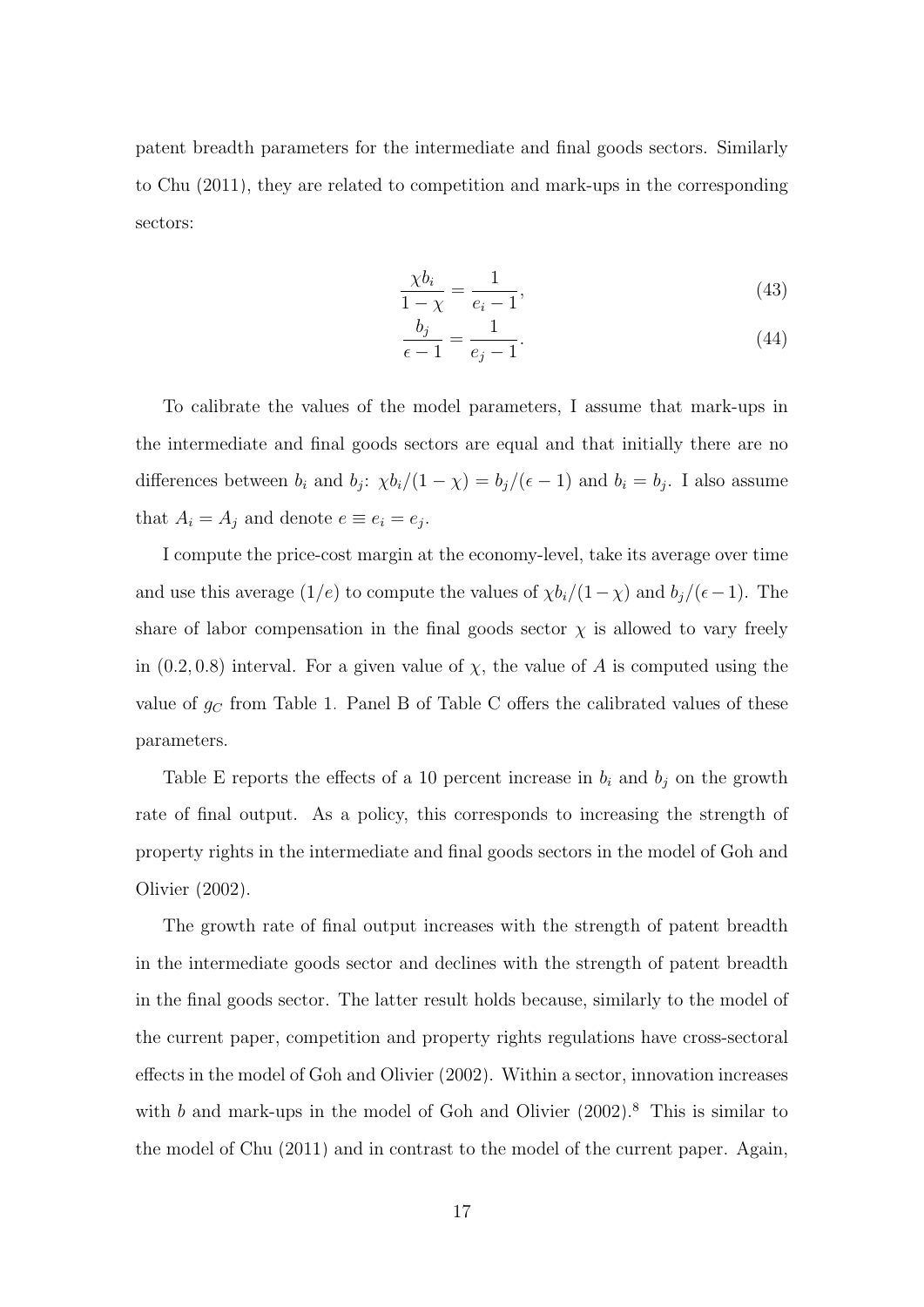patent breadth parameters for the intermediate and final goods sectors. Similarly to [Chu \(2011\)](#page-19-2), they are related to competition and mark-ups in the corresponding sectors:

$$
\frac{\chi b_i}{1-\chi} = \frac{1}{e_i - 1},\tag{43}
$$

$$
\frac{b_j}{\epsilon - 1} = \frac{1}{e_j - 1}.\tag{44}
$$

To calibrate the values of the model parameters, I assume that mark-ups in the intermediate and final goods sectors are equal and that initially there are no differences between  $b_i$  and  $b_j$ :  $\chi b_i/(1-\chi) = b_j/(\epsilon-1)$  and  $b_i = b_j$ . I also assume that  $A_i = A_j$  and denote  $e \equiv e_i = e_j$ .

I compute the price-cost margin at the economy-level, take its average over time and use this average (1/e) to compute the values of  $\chi b_i/(1-\chi)$  and  $b_j/(\epsilon-1)$ . The share of labor compensation in the final goods sector  $\chi$  is allowed to vary freely in  $(0.2, 0.8)$  interval. For a given value of  $\chi$ , the value of A is computed using the value of  $g_C$  from Table [1.](#page-15-0) Panel B of Table [C](#page-14-0) offers the calibrated values of these parameters.

Table [E](#page-17-0) reports the effects of a 10 percent increase in  $b_i$  and  $b_j$  on the growth rate of final output. As a policy, this corresponds to increasing the strength of property rights in the intermediate and final goods sectors in the model of [Goh and](#page-19-3) [Olivier \(2002\)](#page-19-3).

The growth rate of final output increases with the strength of patent breadth in the intermediate goods sector and declines with the strength of patent breadth in the final goods sector. The latter result holds because, similarly to the model of the current paper, competition and property rights regulations have cross-sectoral effects in the model of [Goh and Olivier \(2002\)](#page-19-3). Within a sector, innovation increases with  $b$  and mark-ups in the model of [Goh and Olivier \(2002\)](#page-19-3).<sup>8</sup> This is similar to the model of [Chu \(2011\)](#page-19-2) and in contrast to the model of the current paper. Again,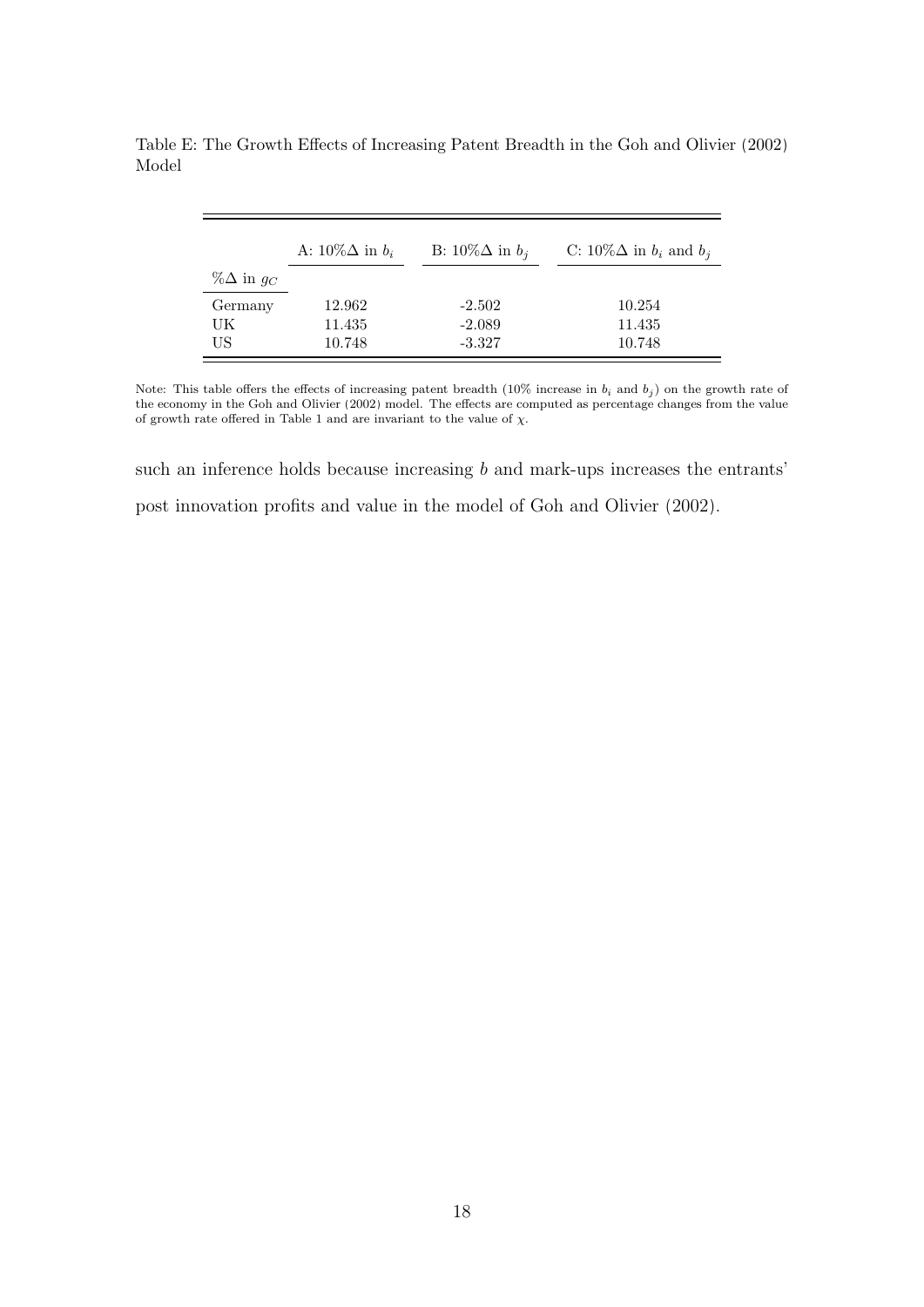|                     | A: $10\%\Delta$ in $b_i$ | B: $10\%\Delta$ in $b_i$ | C: $10\%\Delta$ in $b_i$ and $b_j$ |
|---------------------|--------------------------|--------------------------|------------------------------------|
| % $\Delta$ in $g_C$ |                          |                          |                                    |
| Germany             | 12.962                   | $-2.502$                 | 10.254                             |
| UK                  | 11.435                   | $-2.089$                 | 11.435                             |
| US                  | 10.748                   | $-3.327$                 | 10.748                             |

<span id="page-17-0"></span>Table E: The Growth Effects of Increasing Patent Breadth in the [Goh and Olivier](#page-19-3) [\(2002\)](#page-19-3) Model

Note: This table offers the effects of increasing patent breadth (10% increase in  $b_i$  and  $b_j$ ) on the growth rate of the economy in the [Goh and Olivier](#page-19-3) [\(2002\)](#page-19-3) model. The effects are computed as percentage changes from the value of growth rate offered in Table [1](#page-15-0) and are invariant to the value of  $\chi$ .

such an inference holds because increasing b and mark-ups increases the entrants' post innovation profits and value in the model of [Goh and Olivier \(2002\)](#page-19-3).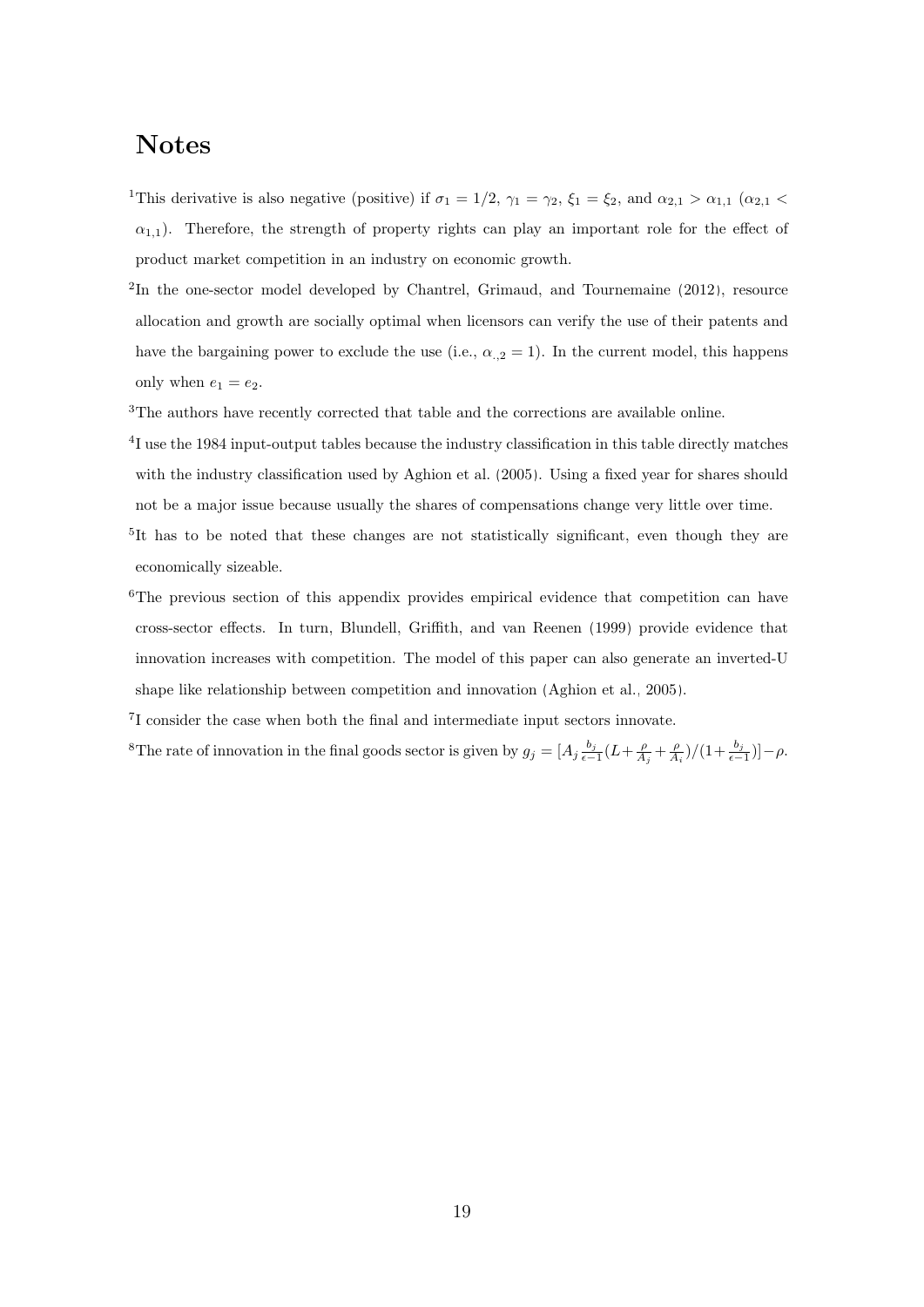## Notes

<sup>1</sup>This derivative is also negative (positive) if  $\sigma_1 = 1/2$ ,  $\gamma_1 = \gamma_2$ ,  $\xi_1 = \xi_2$ , and  $\alpha_{2,1} > \alpha_{1,1}$  ( $\alpha_{2,1} <$  $\alpha_{1,1}$ ). Therefore, the strength of property rights can play an important role for the effect of product market competition in an industry on economic growth.

- <sup>2</sup>In the one-sector model developed by [Chantrel, Grimaud, and Tournemaine](#page-19-5) [\(2012\)](#page-19-5), resource allocation and growth are socially optimal when licensors can verify the use of their patents and have the bargaining power to exclude the use (i.e.,  $\alpha_{,2} = 1$ ). In the current model, this happens only when  $e_1 = e_2$ .
- <sup>3</sup>The authors have recently corrected that table and the corrections are available online.
- <sup>4</sup>I use the 1984 input-output tables because the industry classification in this table directly matches with the industry classification used by [Aghion et al.](#page-19-1) [\(2005\)](#page-19-1). Using a fixed year for shares should not be a major issue because usually the shares of compensations change very little over time.
- <sup>5</sup>It has to be noted that these changes are not statistically significant, even though they are economically sizeable.
- <sup>6</sup>The previous section of this appendix provides empirical evidence that competition can have cross-sector effects. In turn, [Blundell, Griffith, and van Reenen](#page-19-6) [\(1999\)](#page-19-6) provide evidence that innovation increases with competition. The model of this paper can also generate an inverted-U shape like relationship between competition and innovation [\(Aghion et al., 2005\)](#page-19-1).

7 I consider the case when both the final and intermediate input sectors innovate.

<sup>8</sup>The rate of innovation in the final goods sector is given by  $g_j = [A_j \frac{b_j}{\epsilon - 1} (L + \frac{\rho}{A_j} + \frac{\rho}{A_i})/(1 + \frac{b_j}{\epsilon - 1})] - \rho$ .